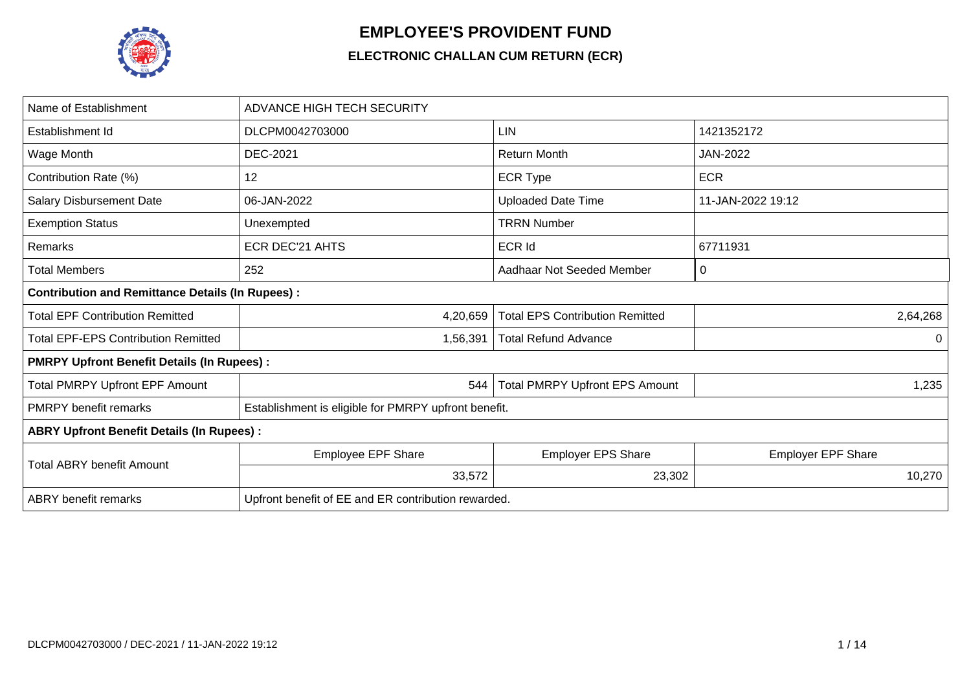

## **EMPLOYEE'S PROVIDENT FUND**

## **ELECTRONIC CHALLAN CUM RETURN (ECR)**

| Name of Establishment                                   | <b>ADVANCE HIGH TECH SECURITY</b>                    |                                        |                           |  |  |  |  |  |  |  |
|---------------------------------------------------------|------------------------------------------------------|----------------------------------------|---------------------------|--|--|--|--|--|--|--|
| Establishment Id                                        | DLCPM0042703000                                      | <b>LIN</b>                             | 1421352172                |  |  |  |  |  |  |  |
| Wage Month                                              | <b>DEC-2021</b>                                      | <b>Return Month</b>                    | JAN-2022                  |  |  |  |  |  |  |  |
| Contribution Rate (%)                                   | 12                                                   | <b>ECR Type</b>                        | <b>ECR</b>                |  |  |  |  |  |  |  |
| <b>Salary Disbursement Date</b>                         | 06-JAN-2022                                          | <b>Uploaded Date Time</b>              | 11-JAN-2022 19:12         |  |  |  |  |  |  |  |
| <b>Exemption Status</b>                                 | Unexempted                                           | <b>TRRN Number</b>                     |                           |  |  |  |  |  |  |  |
| <b>Remarks</b>                                          | <b>ECR DEC'21 AHTS</b>                               | <b>ECR Id</b>                          | 67711931                  |  |  |  |  |  |  |  |
| <b>Total Members</b>                                    | 252                                                  | Aadhaar Not Seeded Member              | 0                         |  |  |  |  |  |  |  |
| <b>Contribution and Remittance Details (In Rupees):</b> |                                                      |                                        |                           |  |  |  |  |  |  |  |
| <b>Total EPF Contribution Remitted</b>                  | 4,20,659                                             | <b>Total EPS Contribution Remitted</b> | 2,64,268                  |  |  |  |  |  |  |  |
| <b>Total EPF-EPS Contribution Remitted</b>              | 1,56,391                                             | <b>Total Refund Advance</b>            | $\Omega$                  |  |  |  |  |  |  |  |
| <b>PMRPY Upfront Benefit Details (In Rupees):</b>       |                                                      |                                        |                           |  |  |  |  |  |  |  |
| <b>Total PMRPY Upfront EPF Amount</b>                   | 544                                                  | <b>Total PMRPY Upfront EPS Amount</b>  | 1,235                     |  |  |  |  |  |  |  |
| <b>PMRPY</b> benefit remarks                            | Establishment is eligible for PMRPY upfront benefit. |                                        |                           |  |  |  |  |  |  |  |
| <b>ABRY Upfront Benefit Details (In Rupees):</b>        |                                                      |                                        |                           |  |  |  |  |  |  |  |
| <b>Total ABRY benefit Amount</b>                        | Employee EPF Share                                   | <b>Employer EPS Share</b>              | <b>Employer EPF Share</b> |  |  |  |  |  |  |  |
|                                                         | 33,572                                               | 23,302                                 | 10,270                    |  |  |  |  |  |  |  |
| <b>ABRY</b> benefit remarks                             | Upfront benefit of EE and ER contribution rewarded.  |                                        |                           |  |  |  |  |  |  |  |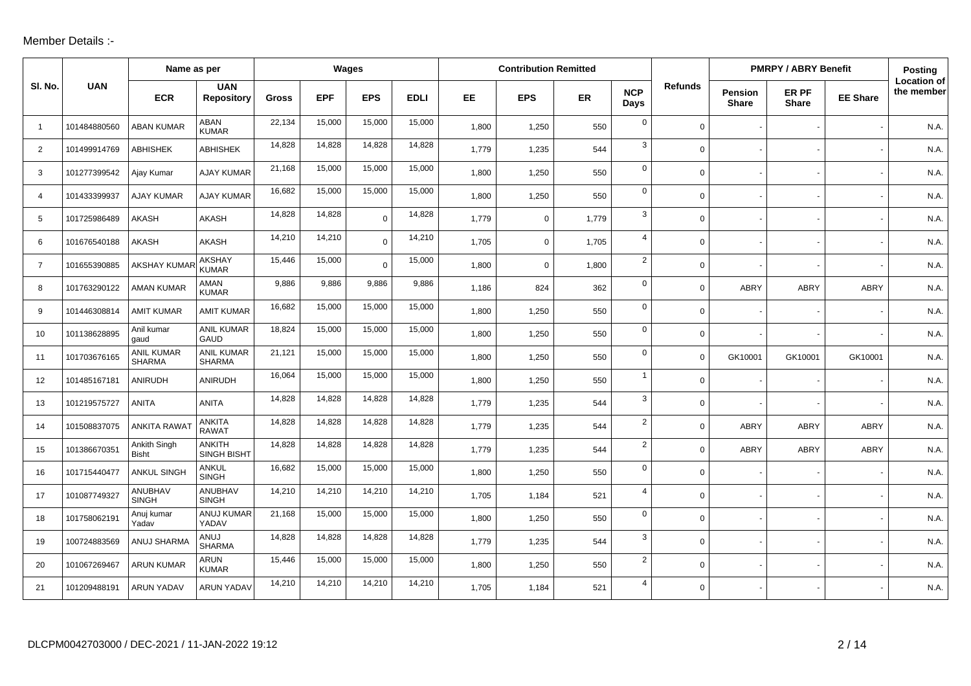## Member Details :-

|                |              | Name as per                        |                                |              |            | Wages       |             |       | <b>Contribution Remitted</b> |       |                    |                |                         | <b>PMRPY / ABRY Benefit</b> |                 | Posting                          |
|----------------|--------------|------------------------------------|--------------------------------|--------------|------------|-------------|-------------|-------|------------------------------|-------|--------------------|----------------|-------------------------|-----------------------------|-----------------|----------------------------------|
| SI. No.        | <b>UAN</b>   | <b>ECR</b>                         | <b>UAN</b><br>Repository       | <b>Gross</b> | <b>EPF</b> | <b>EPS</b>  | <b>EDLI</b> | EE    | <b>EPS</b>                   | ER    | <b>NCP</b><br>Days | <b>Refunds</b> | Pension<br><b>Share</b> | ER PF<br><b>Share</b>       | <b>EE Share</b> | <b>Location of</b><br>the member |
| $\overline{1}$ | 101484880560 | <b>ABAN KUMAR</b>                  | ABAN<br><b>KUMAR</b>           | 22,134       | 15,000     | 15,000      | 15,000      | 1,800 | 1,250                        | 550   | $\mathbf 0$        | $\mathbf 0$    |                         |                             |                 | N.A.                             |
| 2              | 101499914769 | <b>ABHISHEK</b>                    | <b>ABHISHEK</b>                | 14,828       | 14,828     | 14,828      | 14,828      | 1,779 | 1,235                        | 544   | 3                  | $\Omega$       |                         |                             |                 | N.A.                             |
| 3              | 101277399542 | Ajay Kumar                         | <b>AJAY KUMAR</b>              | 21,168       | 15,000     | 15,000      | 15,000      | 1,800 | 1,250                        | 550   | $\mathbf{0}$       | 0              |                         |                             |                 | N.A                              |
| 4              | 101433399937 | <b>AJAY KUMAR</b>                  | <b>AJAY KUMAR</b>              | 16,682       | 15,000     | 15,000      | 15,000      | 1,800 | 1,250                        | 550   | $\mathbf 0$        | 0              |                         |                             |                 | N.A.                             |
| 5              | 101725986489 | AKASH                              | <b>AKASH</b>                   | 14,828       | 14,828     | $\mathbf 0$ | 14,828      | 1,779 | $\mathbf 0$                  | 1,779 | 3                  | $\Omega$       |                         |                             |                 | N.A.                             |
| 6              | 101676540188 | <b>AKASH</b>                       | <b>AKASH</b>                   | 14,210       | 14,210     | $\Omega$    | 14,210      | 1,705 | $\mathbf 0$                  | 1,705 | 4                  | $\Omega$       |                         |                             |                 | N.A.                             |
| $\overline{7}$ | 101655390885 | <b>AKSHAY KUMAR</b>                | <b>AKSHAY</b><br><b>KUMAR</b>  | 15,446       | 15,000     | $\Omega$    | 15,000      | 1,800 | $\mathbf 0$                  | 1,800 | $\overline{2}$     | $\Omega$       |                         |                             |                 | N.A.                             |
| 8              | 101763290122 | <b>AMAN KUMAR</b>                  | AMAN<br><b>KUMAR</b>           | 9,886        | 9,886      | 9,886       | 9,886       | 1,186 | 824                          | 362   | $\mathbf 0$        | $\Omega$       | <b>ABRY</b>             | <b>ABRY</b>                 | <b>ABRY</b>     | N.A.                             |
| 9              | 101446308814 | <b>AMIT KUMAR</b>                  | <b>AMIT KUMAR</b>              | 16,682       | 15,000     | 15,000      | 15,000      | 1,800 | 1,250                        | 550   | $\mathbf 0$        | $\mathbf 0$    |                         |                             |                 | N.A.                             |
| 10             | 101138628895 | Anil kumar<br>gaud                 | <b>ANIL KUMAR</b><br>GAUD      | 18,824       | 15,000     | 15,000      | 15,000      | 1,800 | 1,250                        | 550   | $\mathbf 0$        | 0              |                         |                             |                 | N.A.                             |
| 11             | 101703676165 | <b>ANIL KUMAR</b><br><b>SHARMA</b> | ANIL KUMAR<br><b>SHARMA</b>    | 21,121       | 15,000     | 15,000      | 15,000      | 1,800 | 1,250                        | 550   | $\mathbf 0$        | $\Omega$       | GK10001                 | GK10001                     | GK10001         | N.A.                             |
| 12             | 101485167181 | ANIRUDH                            | ANIRUDH                        | 16,064       | 15,000     | 15,000      | 15,000      | 1,800 | 1,250                        | 550   | $\mathbf{1}$       | 0              |                         |                             |                 | N.A.                             |
| 13             | 101219575727 | <b>ANITA</b>                       | <b>ANITA</b>                   | 14,828       | 14,828     | 14,828      | 14,828      | 1,779 | 1,235                        | 544   | 3                  | $\Omega$       |                         |                             |                 | N.A.                             |
| 14             | 101508837075 | <b>ANKITA RAWA</b>                 | <b>ANKITA</b><br><b>RAWAT</b>  | 14,828       | 14,828     | 14,828      | 14,828      | 1,779 | 1,235                        | 544   | $\overline{2}$     | $\mathbf 0$    | <b>ABRY</b>             | ABRY                        | <b>ABRY</b>     | N.A.                             |
| 15             | 101386670351 | Ankith Singh<br><b>Bisht</b>       | <b>ANKITH</b><br>SINGH BISHT   | 14,828       | 14,828     | 14,828      | 14,828      | 1,779 | 1,235                        | 544   | $\overline{2}$     | $\Omega$       | <b>ABRY</b>             | <b>ABRY</b>                 | <b>ABRY</b>     | N.A.                             |
| 16             | 101715440477 | <b>ANKUL SINGH</b>                 | <b>ANKUL</b><br><b>SINGH</b>   | 16,682       | 15,000     | 15,000      | 15,000      | 1,800 | 1,250                        | 550   | $\mathbf{0}$       | 0              |                         |                             |                 | N.A.                             |
| 17             | 101087749327 | ANUBHAV<br><b>SINGH</b>            | <b>ANUBHAV</b><br><b>SINGH</b> | 14,210       | 14,210     | 14,210      | 14,210      | 1,705 | 1,184                        | 521   | $\overline{4}$     | $\Omega$       |                         |                             |                 | N.A.                             |
| 18             | 101758062191 | Anuj kumar<br>Yadav                | ANUJ KUMAR<br>YADAV            | 21,168       | 15,000     | 15,000      | 15,000      | 1,800 | 1,250                        | 550   | $\mathbf 0$        | 0              |                         |                             |                 | N.A.                             |
| 19             | 100724883569 | ANUJ SHARMA                        | ANUJ<br><b>SHARMA</b>          | 14,828       | 14,828     | 14,828      | 14,828      | 1,779 | 1,235                        | 544   | 3                  | 0              |                         |                             |                 | N.A.                             |
| 20             | 101067269467 | <b>ARUN KUMAR</b>                  | ARUN<br><b>KUMAR</b>           | 15,446       | 15,000     | 15,000      | 15,000      | 1,800 | 1,250                        | 550   | $\overline{2}$     | 0              |                         |                             |                 | N.A                              |
| 21             | 101209488191 | ARUN YADAV                         | <b>ARUN YADAV</b>              | 14,210       | 14,210     | 14,210      | 14,210      | 1,705 | 1,184                        | 521   | 4                  | $\Omega$       |                         |                             |                 | N.A.                             |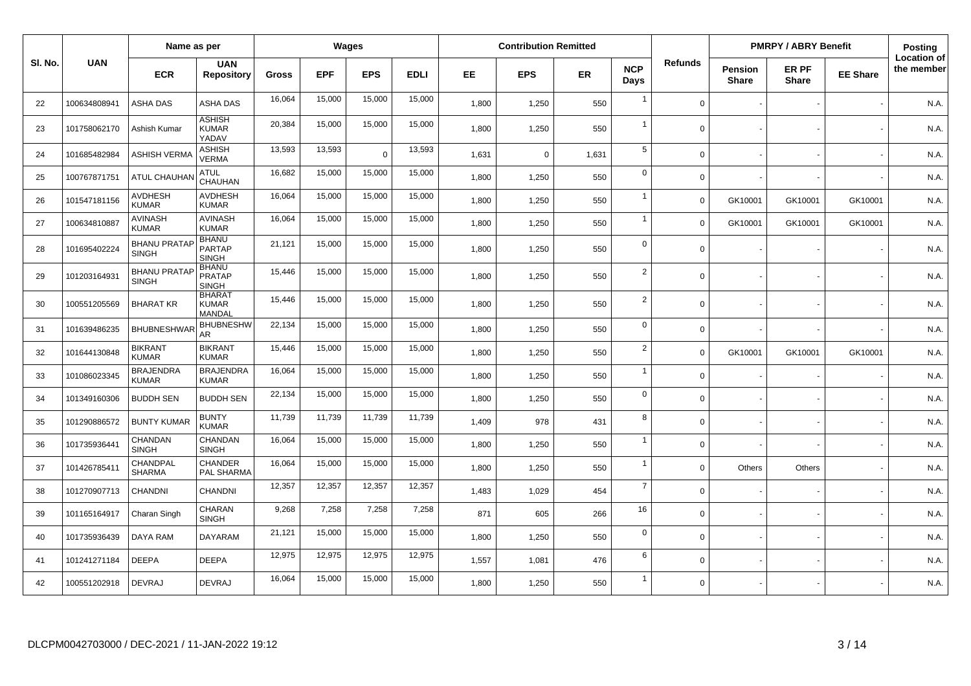|         |              | Name as per                         |                                                |              |            | Wages      |             |           | <b>Contribution Remitted</b> |           |                    |                |                         | <b>PMRPY / ABRY Benefit</b> |                 | Posting                          |
|---------|--------------|-------------------------------------|------------------------------------------------|--------------|------------|------------|-------------|-----------|------------------------------|-----------|--------------------|----------------|-------------------------|-----------------------------|-----------------|----------------------------------|
| SI. No. | <b>UAN</b>   | <b>ECR</b>                          | <b>UAN</b><br><b>Repository</b>                | <b>Gross</b> | <b>EPF</b> | <b>EPS</b> | <b>EDLI</b> | <b>EE</b> | <b>EPS</b>                   | <b>ER</b> | <b>NCP</b><br>Days | <b>Refunds</b> | Pension<br><b>Share</b> | ER PF<br><b>Share</b>       | <b>EE Share</b> | <b>Location of</b><br>the member |
| 22      | 100634808941 | ASHA DAS                            | <b>ASHA DAS</b>                                | 16,064       | 15,000     | 15,000     | 15,000      | 1,800     | 1,250                        | 550       | $\overline{1}$     | $\Omega$       |                         |                             |                 | N.A.                             |
| 23      | 101758062170 | Ashish Kumar                        | <b>ASHISH</b><br><b>KUMAR</b><br>YADAV         | 20,384       | 15,000     | 15,000     | 15,000      | 1,800     | 1,250                        | 550       | $\mathbf 1$        | $\mathbf 0$    |                         |                             |                 | N.A.                             |
| 24      | 101685482984 | ASHISH VERMA                        | <b>ASHISH</b><br><b>VERMA</b>                  | 13,593       | 13,593     | $\Omega$   | 13,593      | 1,631     | $\Omega$                     | 1,631     | 5                  | $\mathbf{0}$   |                         |                             |                 | N.A.                             |
| 25      | 100767871751 | ATUL CHAUHAN                        | <b>ATUL</b><br>CHAUHAN                         | 16,682       | 15,000     | 15,000     | 15,000      | 1,800     | 1,250                        | 550       | $\mathbf 0$        | $\mathbf 0$    |                         |                             |                 | N.A.                             |
| 26      | 101547181156 | <b>AVDHESH</b><br><b>KUMAR</b>      | <b>AVDHESH</b><br><b>KUMAR</b>                 | 16,064       | 15,000     | 15,000     | 15,000      | 1,800     | 1,250                        | 550       | $\mathbf{1}$       | $\mathbf 0$    | GK10001                 | GK10001                     | GK10001         | N.A.                             |
| 27      | 100634810887 | <b>AVINASH</b><br><b>KUMAR</b>      | <b>AVINASH</b><br><b>KUMAR</b>                 | 16,064       | 15,000     | 15,000     | 15,000      | 1,800     | 1,250                        | 550       | $\mathbf{1}$       | $\Omega$       | GK10001                 | GK10001                     | GK10001         | N.A.                             |
| 28      | 101695402224 | <b>BHANU PRATAP</b><br><b>SINGH</b> | <b>BHANU</b><br><b>PARTAP</b><br><b>SINGH</b>  | 21,121       | 15,000     | 15,000     | 15,000      | 1,800     | 1,250                        | 550       | $\Omega$           | $\mathbf 0$    |                         |                             |                 | N.A.                             |
| 29      | 101203164931 | <b>BHANU PRATAP</b><br>SINGH        | <b>BHANU</b><br><b>PRATAP</b><br><b>SINGH</b>  | 15,446       | 15,000     | 15,000     | 15,000      | 1,800     | 1,250                        | 550       | $\overline{2}$     | $\Omega$       |                         |                             |                 | N.A.                             |
| 30      | 100551205569 | <b>BHARAT KR</b>                    | <b>BHARAT</b><br><b>KUMAR</b><br><b>MANDAL</b> | 15,446       | 15,000     | 15,000     | 15,000      | 1.800     | 1,250                        | 550       | $\overline{2}$     | $\Omega$       |                         |                             |                 | N.A.                             |
| 31      | 101639486235 | <b>BHUBNESHWAR</b>                  | <b>BHUBNESHW</b><br>AR                         | 22,134       | 15,000     | 15,000     | 15,000      | 1,800     | 1,250                        | 550       | $\mathbf 0$        | $\mathbf 0$    |                         |                             |                 | N.A.                             |
| 32      | 101644130848 | <b>BIKRANT</b><br><b>KUMAR</b>      | <b>BIKRANT</b><br><b>KUMAR</b>                 | 15,446       | 15,000     | 15,000     | 15,000      | 1,800     | 1,250                        | 550       | $\overline{2}$     | $\mathbf 0$    | GK10001                 | GK10001                     | GK10001         | N.A.                             |
| 33      | 101086023345 | <b>BRAJENDRA</b><br><b>KUMAR</b>    | <b>BRAJENDRA</b><br><b>KUMAR</b>               | 16,064       | 15,000     | 15,000     | 15,000      | 1,800     | 1,250                        | 550       | $\mathbf{1}$       | $\mathbf 0$    |                         |                             |                 | N.A.                             |
| 34      | 101349160306 | <b>BUDDH SEN</b>                    | <b>BUDDH SEN</b>                               | 22,134       | 15,000     | 15,000     | 15,000      | 1,800     | 1,250                        | 550       | $\mathbf 0$        | $\mathbf 0$    |                         |                             |                 | N.A.                             |
| 35      | 101290886572 | <b>BUNTY KUMAR</b>                  | <b>BUNTY</b><br><b>KUMAR</b>                   | 11,739       | 11,739     | 11,739     | 11,739      | 1,409     | 978                          | 431       | 8                  | $\mathbf 0$    |                         |                             |                 | N.A.                             |
| 36      | 101735936441 | CHANDAN<br><b>SINGH</b>             | CHANDAN<br><b>SINGH</b>                        | 16,064       | 15,000     | 15,000     | 15,000      | 1,800     | 1,250                        | 550       | $\overline{1}$     | $\mathbf 0$    |                         |                             |                 | N.A.                             |
| 37      | 101426785411 | CHANDPAL<br><b>SHARMA</b>           | <b>CHANDER</b><br>PAL SHARMA                   | 16,064       | 15,000     | 15,000     | 15,000      | 1,800     | 1,250                        | 550       | $\mathbf{1}$       | $\Omega$       | Others                  | Others                      |                 | N.A.                             |
| 38      | 101270907713 | <b>CHANDNI</b>                      | <b>CHANDNI</b>                                 | 12,357       | 12,357     | 12,357     | 12,357      | 1,483     | 1,029                        | 454       | $\overline{7}$     | $\mathbf 0$    |                         |                             |                 | N.A.                             |
| 39      | 101165164917 | Charan Singh                        | CHARAN<br><b>SINGH</b>                         | 9,268        | 7,258      | 7,258      | 7,258       | 871       | 605                          | 266       | 16                 | $\mathbf 0$    |                         |                             |                 | N.A.                             |
| 40      | 101735936439 | DAYA RAM                            | <b>DAYARAM</b>                                 | 21,121       | 15,000     | 15,000     | 15,000      | 1,800     | 1,250                        | 550       | $\mathbf 0$        | $\mathbf 0$    |                         |                             |                 | N.A.                             |
| 41      | 101241271184 | <b>DEEPA</b>                        | <b>DEEPA</b>                                   | 12,975       | 12,975     | 12,975     | 12,975      | 1,557     | 1,081                        | 476       | 6                  | $\mathbf 0$    |                         |                             |                 | N.A.                             |
| 42      | 100551202918 | <b>DEVRAJ</b>                       | <b>DEVRAJ</b>                                  | 16,064       | 15,000     | 15,000     | 15,000      | 1,800     | 1,250                        | 550       | $\mathbf{1}$       | $\mathbf 0$    |                         |                             |                 | N.A.                             |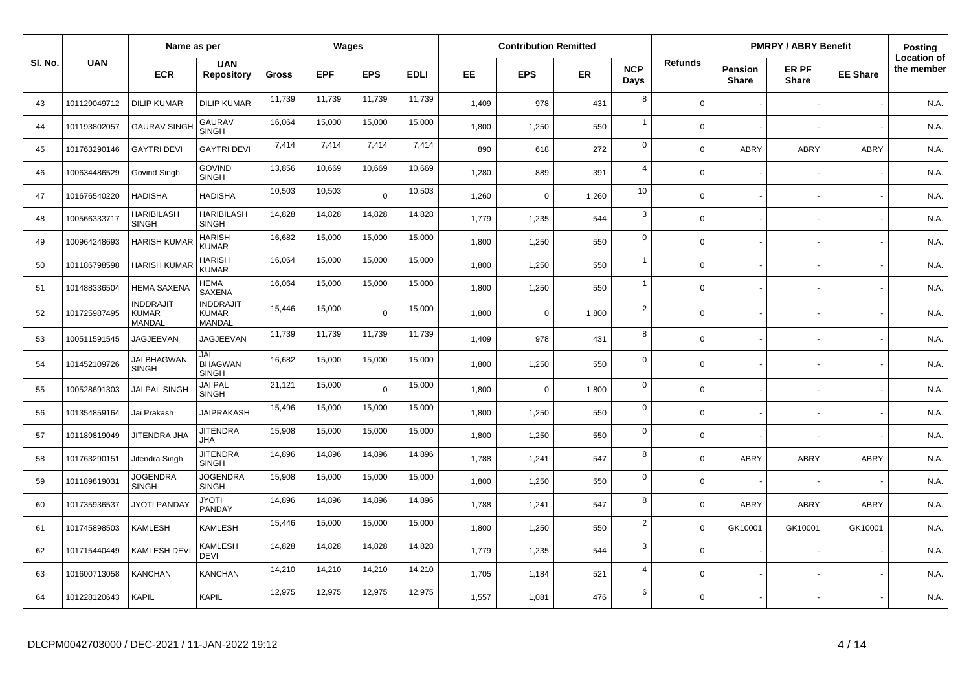|         |              | Name as per                                |                                            |              |            | Wages      |             |       | <b>Contribution Remitted</b> |           |                    |                |                                | <b>PMRPY / ABRY Benefit</b> |                 | Posting                          |
|---------|--------------|--------------------------------------------|--------------------------------------------|--------------|------------|------------|-------------|-------|------------------------------|-----------|--------------------|----------------|--------------------------------|-----------------------------|-----------------|----------------------------------|
| SI. No. | <b>UAN</b>   | <b>ECR</b>                                 | <b>UAN</b><br><b>Repository</b>            | <b>Gross</b> | <b>EPF</b> | <b>EPS</b> | <b>EDLI</b> | EE.   | <b>EPS</b>                   | <b>ER</b> | <b>NCP</b><br>Days | <b>Refunds</b> | <b>Pension</b><br><b>Share</b> | ER PF<br><b>Share</b>       | <b>EE Share</b> | <b>Location of</b><br>the member |
| 43      | 101129049712 | <b>DILIP KUMAR</b>                         | <b>DILIP KUMAR</b>                         | 11,739       | 11,739     | 11,739     | 11,739      | 1,409 | 978                          | 431       | 8                  | $\Omega$       |                                |                             |                 | N.A.                             |
| 44      | 101193802057 | <b>GAURAV SINGH</b>                        | <b>GAURAV</b><br><b>SINGH</b>              | 16.064       | 15,000     | 15,000     | 15,000      | 1,800 | 1,250                        | 550       | $\overline{1}$     | $\Omega$       |                                |                             |                 | N.A.                             |
| 45      | 101763290146 | <b>GAYTRI DEVI</b>                         | <b>GAYTRI DEVI</b>                         | 7,414        | 7,414      | 7,414      | 7,414       | 890   | 618                          | 272       | $\mathbf 0$        | $\Omega$       | <b>ABRY</b>                    | ABRY                        | <b>ABRY</b>     | N.A.                             |
| 46      | 100634486529 | Govind Singh                               | <b>GOVIND</b><br><b>SINGH</b>              | 13,856       | 10,669     | 10,669     | 10,669      | 1,280 | 889                          | 391       | $\overline{4}$     | $\Omega$       |                                |                             |                 | N.A.                             |
| 47      | 101676540220 | <b>HADISHA</b>                             | <b>HADISHA</b>                             | 10,503       | 10,503     | $\Omega$   | 10,503      | 1,260 | $\mathbf 0$                  | 1,260     | 10                 | $\Omega$       |                                |                             |                 | N.A.                             |
| 48      | 100566333717 | <b>HARIBILASH</b><br><b>SINGH</b>          | <b>HARIBILASH</b><br><b>SINGH</b>          | 14,828       | 14,828     | 14,828     | 14,828      | 1,779 | 1,235                        | 544       | 3                  | $\Omega$       |                                |                             |                 | N.A.                             |
| 49      | 100964248693 | <b>HARISH KUMAR</b>                        | <b>HARISH</b><br><b>KUMAR</b>              | 16,682       | 15,000     | 15,000     | 15,000      | 1,800 | 1,250                        | 550       | $\mathbf 0$        | $\Omega$       |                                |                             |                 | N.A.                             |
| 50      | 101186798598 | <b>HARISH KUMAR</b>                        | <b>HARISH</b><br><b>KUMAR</b>              | 16,064       | 15,000     | 15,000     | 15,000      | 1,800 | 1,250                        | 550       | $\overline{1}$     | $\Omega$       |                                |                             |                 | N.A.                             |
| 51      | 101488336504 | <b>HEMA SAXENA</b>                         | <b>HEMA</b><br>SAXENA                      | 16,064       | 15,000     | 15,000     | 15,000      | 1,800 | 1,250                        | 550       | $\overline{1}$     | $\Omega$       |                                |                             |                 | N.A.                             |
| 52      | 101725987495 | <b>INDDRAJIT</b><br><b>KUMAR</b><br>MANDAL | <b>INDDRAJIT</b><br><b>KUMAR</b><br>MANDAL | 15,446       | 15,000     | $\Omega$   | 15,000      | 1,800 | $\Omega$                     | 1,800     | $\overline{2}$     | $\Omega$       |                                |                             |                 | N.A.                             |
| 53      | 100511591545 | JAGJEEVAN                                  | <b>JAGJEEVAN</b>                           | 11,739       | 11,739     | 11,739     | 11,739      | 1,409 | 978                          | 431       | 8                  | $\Omega$       |                                |                             |                 | N.A.                             |
| 54      | 101452109726 | <b>JAI BHAGWAN</b><br><b>SINGH</b>         | JAI<br><b>BHAGWAN</b><br><b>SINGH</b>      | 16,682       | 15,000     | 15,000     | 15,000      | 1,800 | 1,250                        | 550       | $\mathbf 0$        | $\Omega$       |                                |                             |                 | N.A.                             |
| 55      | 100528691303 | <b>JAI PAL SINGH</b>                       | <b>JAI PAL</b><br><b>SINGH</b>             | 21,121       | 15,000     | $\Omega$   | 15,000      | 1,800 | $\mathbf 0$                  | 1,800     | $\mathbf 0$        | $\Omega$       |                                |                             |                 | N.A.                             |
| 56      | 101354859164 | Jai Prakash                                | <b>JAIPRAKASH</b>                          | 15,496       | 15,000     | 15,000     | 15,000      | 1,800 | 1,250                        | 550       | $\mathbf 0$        | $\Omega$       |                                |                             |                 | N.A.                             |
| 57      | 101189819049 | <b>JITENDRA JHA</b>                        | <b>JITENDRA</b><br>JHA                     | 15,908       | 15,000     | 15,000     | 15,000      | 1.800 | 1,250                        | 550       | $\mathbf 0$        | $\Omega$       |                                |                             |                 | N.A.                             |
| 58      | 101763290151 | Jitendra Singh                             | <b>JITENDRA</b><br><b>SINGH</b>            | 14,896       | 14,896     | 14,896     | 14,896      | 1,788 | 1,241                        | 547       | 8                  | $\Omega$       | ABRY                           | <b>ABRY</b>                 | ABRY            | N.A.                             |
| 59      | 101189819031 | <b>JOGENDRA</b><br><b>SINGH</b>            | <b>JOGENDRA</b><br><b>SINGH</b>            | 15,908       | 15,000     | 15,000     | 15,000      | 1,800 | 1,250                        | 550       | $\mathbf 0$        | $\Omega$       |                                |                             |                 | N.A.                             |
| 60      | 101735936537 | <b>JYOTI PANDAY</b>                        | <b>ITOYL</b><br>PANDAY                     | 14,896       | 14,896     | 14,896     | 14,896      | 1,788 | 1,241                        | 547       | 8                  | $\Omega$       | ABRY                           | <b>ABRY</b>                 | ABRY            | N.A.                             |
| 61      | 101745898503 | <b>KAMLESH</b>                             | <b>KAMLESH</b>                             | 15,446       | 15,000     | 15,000     | 15,000      | 1,800 | 1,250                        | 550       | $\overline{2}$     | $\Omega$       | GK10001                        | GK10001                     | GK10001         | N.A.                             |
| 62      | 101715440449 | KAMLESH DEV                                | <b>KAMLESH</b><br><b>DEVI</b>              | 14,828       | 14,828     | 14,828     | 14,828      | 1.779 | 1,235                        | 544       | $\mathbf{3}$       | $\Omega$       |                                |                             |                 | N.A.                             |
| 63      | 101600713058 | <b>KANCHAN</b>                             | <b>KANCHAN</b>                             | 14,210       | 14,210     | 14,210     | 14,210      | 1,705 | 1,184                        | 521       | $\overline{4}$     | $\Omega$       |                                |                             |                 | N.A.                             |
| 64      | 101228120643 | KAPIL                                      | KAPIL                                      | 12,975       | 12,975     | 12,975     | 12,975      | 1,557 | 1,081                        | 476       | 6                  | $\Omega$       |                                |                             |                 | N.A.                             |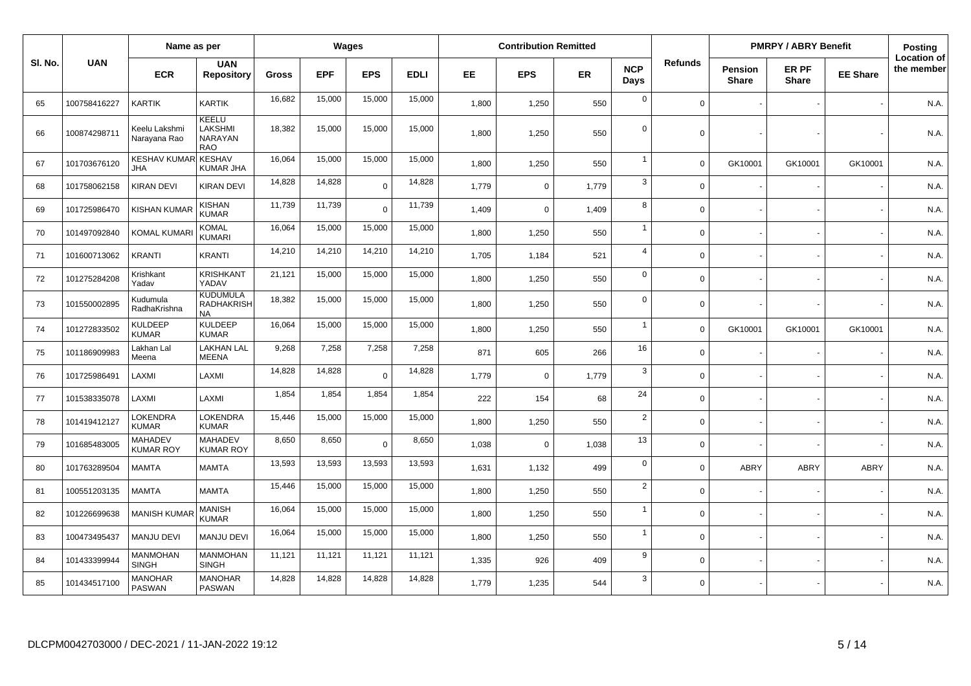|         |              | Name as per                        |                                            |              |            | <b>Wages</b>   |             |       | <b>Contribution Remitted</b> |           |                    |                |                                | <b>PMRPY / ABRY Benefit</b> |                 | Posting                          |
|---------|--------------|------------------------------------|--------------------------------------------|--------------|------------|----------------|-------------|-------|------------------------------|-----------|--------------------|----------------|--------------------------------|-----------------------------|-----------------|----------------------------------|
| SI. No. | <b>UAN</b>   | <b>ECR</b>                         | <b>UAN</b><br><b>Repository</b>            | <b>Gross</b> | <b>EPF</b> | <b>EPS</b>     | <b>EDLI</b> | EE.   | <b>EPS</b>                   | <b>ER</b> | <b>NCP</b><br>Days | <b>Refunds</b> | <b>Pension</b><br><b>Share</b> | ER PF<br><b>Share</b>       | <b>EE Share</b> | <b>Location of</b><br>the member |
| 65      | 100758416227 | <b>KARTIK</b>                      | <b>KARTIK</b>                              | 16,682       | 15,000     | 15,000         | 15,000      | 1.800 | 1,250                        | 550       | $\mathbf 0$        | $\Omega$       |                                |                             |                 | N.A.                             |
| 66      | 100874298711 | Keelu Lakshmi<br>Narayana Rao      | <b>KEELU</b><br>LAKSHMI<br>NARAYAN<br>RAO  | 18,382       | 15,000     | 15,000         | 15,000      | 1,800 | 1,250                        | 550       | $\mathbf 0$        | $\Omega$       |                                |                             |                 | N.A.                             |
| 67      | 101703676120 | <b>KESHAV KUMAR</b><br><b>JHA</b>  | <b>KESHAV</b><br>KUMAR JHA                 | 16,064       | 15,000     | 15,000         | 15,000      | 1,800 | 1,250                        | 550       | $\overline{1}$     | $\Omega$       | GK10001                        | GK10001                     | GK10001         | N.A.                             |
| 68      | 101758062158 | KIRAN DEVI                         | <b>KIRAN DEVI</b>                          | 14,828       | 14,828     | $\overline{0}$ | 14,828      | 1,779 | $\mathbf 0$                  | 1,779     | 3                  | $\Omega$       |                                |                             |                 | N.A.                             |
| 69      | 101725986470 | <b>KISHAN KUMAR</b>                | <b>KISHAN</b><br><b>KUMAR</b>              | 11,739       | 11,739     | $\Omega$       | 11,739      | 1,409 | $\mathbf 0$                  | 1,409     | 8                  | $\Omega$       |                                |                             |                 | N.A.                             |
| 70      | 101497092840 | <b>KOMAL KUMAR</b>                 | <b>KOMAL</b><br><b>KUMARI</b>              | 16,064       | 15,000     | 15,000         | 15,000      | 1,800 | 1,250                        | 550       | $\overline{1}$     | $\Omega$       |                                |                             |                 | N.A.                             |
| 71      | 101600713062 | <b>KRANTI</b>                      | <b>KRANTI</b>                              | 14,210       | 14,210     | 14,210         | 14,210      | 1,705 | 1,184                        | 521       | $\overline{4}$     | $\mathbf 0$    |                                |                             |                 | N.A.                             |
| 72      | 101275284208 | Krishkant<br>Yadav                 | KRISHKANT<br>YADAV                         | 21,121       | 15,000     | 15,000         | 15,000      | 1,800 | 1,250                        | 550       | $\mathbf 0$        | $\Omega$       |                                |                             |                 | N.A.                             |
| 73      | 101550002895 | Kudumula<br>RadhaKrishna           | <b>KUDUMULA</b><br>RADHAKRISH<br><b>NA</b> | 18,382       | 15,000     | 15,000         | 15,000      | 1,800 | 1,250                        | 550       | $\mathbf 0$        | $\Omega$       |                                |                             |                 | N.A.                             |
| 74      | 101272833502 | <b>KULDEEP</b><br><b>KUMAR</b>     | <b>KULDEEP</b><br><b>KUMAR</b>             | 16,064       | 15,000     | 15,000         | 15,000      | 1.800 | 1,250                        | 550       | $\overline{1}$     | $\Omega$       | GK10001                        | GK10001                     | GK10001         | N.A.                             |
| 75      | 101186909983 | Lakhan Lal<br>Meena                | <b>LAKHAN LAL</b><br><b>MEENA</b>          | 9,268        | 7,258      | 7,258          | 7,258       | 871   | 605                          | 266       | 16                 | $\Omega$       |                                |                             |                 | N.A.                             |
| 76      | 101725986491 | LAXMI                              | LAXMI                                      | 14,828       | 14,828     | $\Omega$       | 14,828      | 1,779 | $\mathbf 0$                  | 1,779     | 3                  | $\Omega$       |                                |                             |                 | N.A.                             |
| 77      | 101538335078 | LAXMI                              | LAXMI                                      | 1,854        | 1,854      | 1,854          | 1,854       | 222   | 154                          | 68        | 24                 | $\Omega$       |                                |                             |                 | N.A.                             |
| 78      | 101419412127 | LOKENDRA<br><b>KUMAR</b>           | <b>LOKENDRA</b><br><b>KUMAR</b>            | 15,446       | 15,000     | 15,000         | 15,000      | 1,800 | 1,250                        | 550       | $\overline{2}$     | $\Omega$       |                                |                             |                 | N.A.                             |
| 79      | 101685483005 | <b>MAHADEV</b><br><b>KUMAR ROY</b> | <b>MAHADEV</b><br><b>KUMAR ROY</b>         | 8,650        | 8,650      | $\Omega$       | 8,650       | 1,038 | $\mathbf 0$                  | 1,038     | 13                 | $\Omega$       |                                |                             |                 | N.A.                             |
| 80      | 101763289504 | <b>MAMTA</b>                       | <b>MAMTA</b>                               | 13,593       | 13,593     | 13,593         | 13,593      | 1,631 | 1,132                        | 499       | $\mathbf 0$        | $\Omega$       | ABRY                           | <b>ABRY</b>                 | <b>ABRY</b>     | N.A.                             |
| 81      | 100551203135 | <b>MAMTA</b>                       | <b>MAMTA</b>                               | 15,446       | 15,000     | 15,000         | 15,000      | 1,800 | 1,250                        | 550       | $\overline{2}$     | $\Omega$       |                                |                             |                 | N.A.                             |
| 82      | 101226699638 | <b>MANISH KUMAI</b>                | MANISH<br><b>KUMAR</b>                     | 16,064       | 15,000     | 15,000         | 15,000      | 1,800 | 1,250                        | 550       | $\overline{1}$     | $\mathbf 0$    |                                |                             |                 | N.A.                             |
| 83      | 100473495437 | <b>MANJU DEVI</b>                  | <b>MANJU DEVI</b>                          | 16,064       | 15,000     | 15,000         | 15,000      | 1,800 | 1,250                        | 550       | $\overline{1}$     | $\Omega$       |                                |                             |                 | N.A.                             |
| 84      | 101433399944 | <b>MANMOHAN</b><br><b>SINGH</b>    | <b>MANMOHAN</b><br><b>SINGH</b>            | 11,121       | 11,121     | 11,121         | 11,121      | 1,335 | 926                          | 409       | 9                  | $\Omega$       |                                |                             |                 | N.A.                             |
| 85      | 101434517100 | <b>MANOHAR</b><br><b>PASWAN</b>    | <b>MANOHAR</b><br>PASWAN                   | 14,828       | 14,828     | 14,828         | 14,828      | 1,779 | 1,235                        | 544       | 3                  | $\mathbf 0$    |                                |                             |                 | N.A.                             |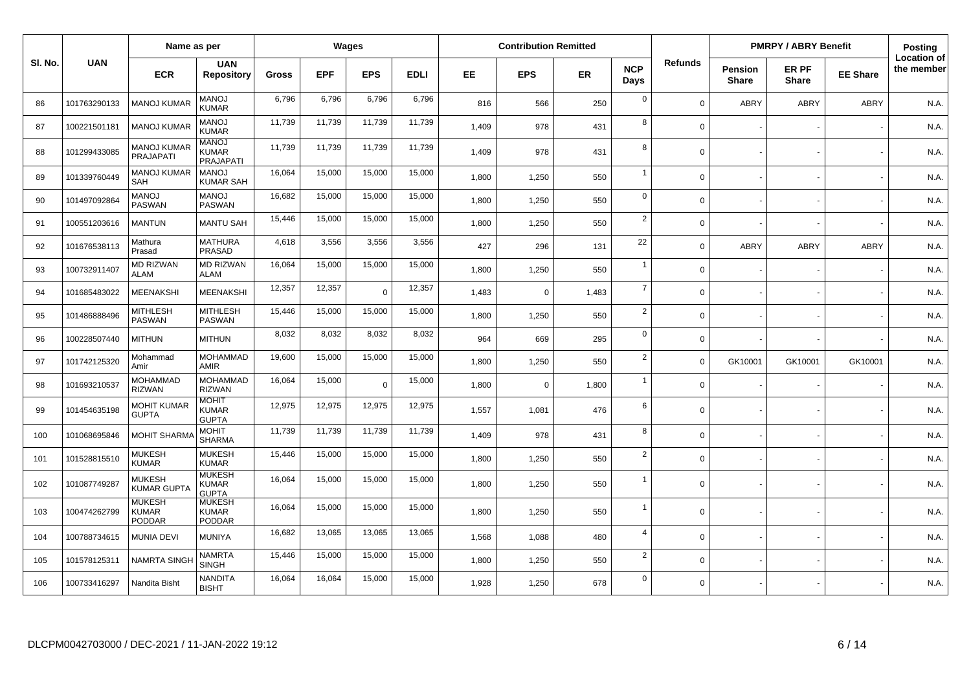|         | Name as per  |                                         |                                               |              | Wages      |            |             | <b>Contribution Remitted</b> |             |           |                    |                | <b>PMRPY / ABRY Benefit</b>    |                       | <b>Posting</b>  |                                  |
|---------|--------------|-----------------------------------------|-----------------------------------------------|--------------|------------|------------|-------------|------------------------------|-------------|-----------|--------------------|----------------|--------------------------------|-----------------------|-----------------|----------------------------------|
| SI. No. | <b>UAN</b>   | <b>ECR</b>                              | <b>UAN</b><br><b>Repository</b>               | <b>Gross</b> | <b>EPF</b> | <b>EPS</b> | <b>EDLI</b> | <b>EE</b>                    | <b>EPS</b>  | <b>ER</b> | <b>NCP</b><br>Days | <b>Refunds</b> | <b>Pension</b><br><b>Share</b> | ER PF<br><b>Share</b> | <b>EE Share</b> | <b>Location of</b><br>the member |
| 86      | 101763290133 | <b>MANOJ KUMAF</b>                      | <b>MANOJ</b><br>KUMAR                         | 6,796        | 6,796      | 6,796      | 6,796       | 816                          | 566         | 250       | $\mathbf 0$        | $\Omega$       | ABRY                           | <b>ABRY</b>           | <b>ABRY</b>     | N.A.                             |
| 87      | 100221501181 | <b>MANOJ KUMAF</b>                      | <b>MANOJ</b><br><b>KUMAR</b>                  | 11.739       | 11.739     | 11,739     | 11,739      | 1,409                        | 978         | 431       | 8                  | $\Omega$       |                                |                       |                 | N.A.                             |
| 88      | 101299433085 | MANOJ KUMAR<br>PRAJAPATI                | <b>MANOJ</b><br>KUMAR<br>PRAJAPATI            | 11,739       | 11,739     | 11,739     | 11,739      | 1.409                        | 978         | 431       | 8                  | $\Omega$       |                                |                       |                 | N.A.                             |
| 89      | 101339760449 | <b>MANOJ KUMAR</b><br>SAH               | MANO.<br>KUMAR SAH                            | 16,064       | 15,000     | 15,000     | 15,000      | 1,800                        | 1,250       | 550       | $\overline{1}$     | $\Omega$       |                                |                       |                 | N.A.                             |
| 90      | 101497092864 | <b>MANOJ</b><br>PASWAN                  | <b>MANOJ</b><br><b>PASWAN</b>                 | 16,682       | 15,000     | 15,000     | 15,000      | 1,800                        | 1,250       | 550       | $\mathbf 0$        | $\Omega$       |                                |                       |                 | N.A.                             |
| 91      | 100551203616 | <b>MANTUN</b>                           | <b>MANTU SAH</b>                              | 15,446       | 15,000     | 15,000     | 15,000      | 1,800                        | 1,250       | 550       | $\overline{2}$     | $\Omega$       |                                |                       |                 | N.A.                             |
| 92      | 101676538113 | Mathura<br>Prasad                       | <b>MATHURA</b><br><b>PRASAD</b>               | 4,618        | 3,556      | 3,556      | 3,556       | 427                          | 296         | 131       | 22                 | $\Omega$       | ABRY                           | <b>ABRY</b>           | <b>ABRY</b>     | N.A.                             |
| 93      | 100732911407 | <b>MD RIZWAN</b><br><b>ALAM</b>         | <b>MD RIZWAN</b><br><b>ALAM</b>               | 16,064       | 15,000     | 15,000     | 15,000      | 1,800                        | 1,250       | 550       | $\overline{1}$     | $\Omega$       |                                |                       |                 | N.A.                             |
| 94      | 101685483022 | <b>MEENAKSHI</b>                        | MEENAKSHI                                     | 12,357       | 12,357     | $\Omega$   | 12,357      | 1,483                        | $\mathbf 0$ | 1,483     | $\overline{7}$     | $\Omega$       |                                |                       |                 | N.A.                             |
| 95      | 101486888496 | <b>MITHLESH</b><br><b>PASWAN</b>        | <b>MITHLESH</b><br><b>PASWAN</b>              | 15,446       | 15,000     | 15,000     | 15,000      | 1,800                        | 1,250       | 550       | 2                  | $\Omega$       |                                |                       |                 | N.A.                             |
| 96      | 100228507440 | <b>MITHUN</b>                           | <b>MITHUN</b>                                 | 8,032        | 8,032      | 8,032      | 8,032       | 964                          | 669         | 295       | $\mathbf 0$        | $\Omega$       |                                |                       |                 | N.A.                             |
| 97      | 101742125320 | Mohammad<br>Amir                        | <b>MOHAMMAD</b><br><b>AMIR</b>                | 19.600       | 15.000     | 15,000     | 15,000      | 1.800                        | 1,250       | 550       | $\overline{2}$     | $\Omega$       | GK10001                        | GK10001               | GK10001         | N.A.                             |
| 98      | 101693210537 | <b>MOHAMMAD</b><br><b>RIZWAN</b>        | <b>MOHAMMAD</b><br><b>RIZWAN</b>              | 16,064       | 15,000     | $\Omega$   | 15,000      | 1,800                        | $\mathbf 0$ | 1,800     | $\overline{1}$     | $\Omega$       |                                |                       |                 | N.A.                             |
| 99      | 101454635198 | <b>MOHIT KUMAR</b><br><b>GUPTA</b>      | <b>MOHIT</b><br><b>KUMAR</b><br><b>GUPTA</b>  | 12,975       | 12,975     | 12,975     | 12,975      | 1,557                        | 1,081       | 476       | 6                  | $\Omega$       |                                |                       |                 | N.A.                             |
| 100     | 101068695846 | <b>MOHIT SHARM</b>                      | <b>MOHIT</b><br><b>SHARMA</b>                 | 11,739       | 11,739     | 11,739     | 11,739      | 1,409                        | 978         | 431       | 8                  | $\Omega$       |                                |                       |                 | N.A.                             |
| 101     | 101528815510 | <b>MUKESH</b><br><b>KUMAR</b>           | <b>MUKESH</b><br><b>KUMAR</b>                 | 15,446       | 15,000     | 15,000     | 15,000      | 1,800                        | 1,250       | 550       | $\overline{2}$     | $\Omega$       |                                |                       |                 | N.A.                             |
| 102     | 101087749287 | <b>MUKESH</b><br><b>KUMAR GUPTA</b>     | <b>MUKESH</b><br><b>KUMAR</b><br><b>GUPTA</b> | 16,064       | 15,000     | 15,000     | 15,000      | 1,800                        | 1,250       | 550       | $\overline{1}$     | $\Omega$       |                                |                       |                 | N.A.                             |
| 103     | 100474262799 | <b>MUKESH</b><br><b>KUMAR</b><br>PODDAR | <b>MUKESH</b><br><b>KUMAR</b><br>PODDAR       | 16,064       | 15,000     | 15,000     | 15,000      | 1,800                        | 1,250       | 550       | $\overline{1}$     | $\Omega$       |                                |                       |                 | N.A.                             |
| 104     | 100788734615 | <b>MUNIA DEVI</b>                       | <b>MUNIYA</b>                                 | 16,682       | 13,065     | 13,065     | 13,065      | 1,568                        | 1,088       | 480       | $\overline{4}$     | $\Omega$       |                                |                       |                 | N.A.                             |
| 105     | 101578125311 | <b>NAMRTA SINGH</b>                     | NAMRTA<br><b>SINGH</b>                        | 15,446       | 15,000     | 15,000     | 15,000      | 1,800                        | 1,250       | 550       | $\overline{2}$     | $\Omega$       |                                |                       |                 | N.A.                             |
| 106     | 100733416297 | Nandita Bisht                           | NANDITA<br><b>BISHT</b>                       | 16,064       | 16,064     | 15,000     | 15,000      | 1,928                        | 1,250       | 678       | $\mathbf 0$        | $\Omega$       |                                |                       |                 | N.A.                             |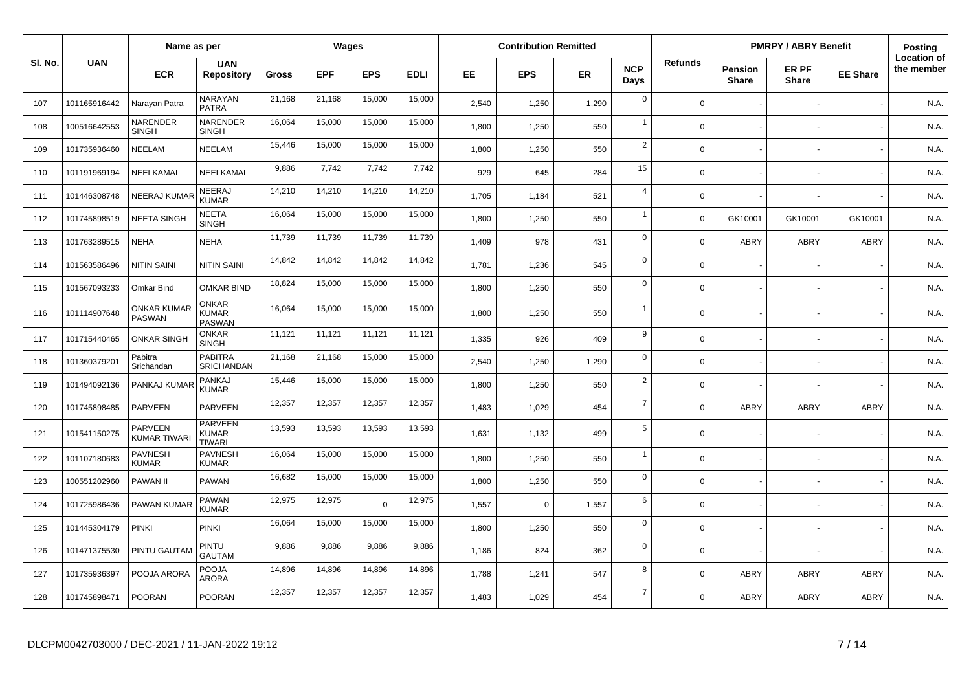|         | Name as per  |                                     |                                                 |              | Wages      |            |             | <b>Contribution Remitted</b> |             |           |                    |                | <b>PMRPY / ABRY Benefit</b>    |                       | <b>Posting</b>  |                                  |
|---------|--------------|-------------------------------------|-------------------------------------------------|--------------|------------|------------|-------------|------------------------------|-------------|-----------|--------------------|----------------|--------------------------------|-----------------------|-----------------|----------------------------------|
| SI. No. | <b>UAN</b>   | <b>ECR</b>                          | <b>UAN</b><br><b>Repository</b>                 | <b>Gross</b> | <b>EPF</b> | <b>EPS</b> | <b>EDLI</b> | EE.                          | <b>EPS</b>  | <b>ER</b> | <b>NCP</b><br>Days | <b>Refunds</b> | <b>Pension</b><br><b>Share</b> | ER PF<br><b>Share</b> | <b>EE Share</b> | <b>Location of</b><br>the member |
| 107     | 101165916442 | Narayan Patra                       | NARAYAN<br><b>PATRA</b>                         | 21,168       | 21,168     | 15,000     | 15,000      | 2,540                        | 1,250       | 1,290     | $\mathbf 0$        | $\Omega$       |                                |                       |                 | N.A.                             |
| 108     | 100516642553 | NARENDER<br><b>SINGH</b>            | NARENDER<br><b>SINGH</b>                        | 16,064       | 15,000     | 15,000     | 15,000      | 1.800                        | 1,250       | 550       | $\overline{1}$     | $\Omega$       |                                |                       |                 | N.A.                             |
| 109     | 101735936460 | NEELAM                              | NEELAM                                          | 15,446       | 15,000     | 15,000     | 15,000      | 1,800                        | 1,250       | 550       | $\overline{2}$     | $\Omega$       |                                |                       |                 | N.A.                             |
| 110     | 101191969194 | NEELKAMAL                           | NEELKAMAL                                       | 9,886        | 7,742      | 7,742      | 7,742       | 929                          | 645         | 284       | 15                 | $\Omega$       |                                |                       |                 | N.A.                             |
| 111     | 101446308748 | <b>NEERAJ KUMAF</b>                 | NEERAJ<br><b>KUMAR</b>                          | 14,210       | 14,210     | 14,210     | 14,210      | 1,705                        | 1,184       | 521       | $\overline{4}$     | $\Omega$       |                                |                       |                 | N.A.                             |
| 112     | 101745898519 | <b>NEETA SINGH</b>                  | <b>NEETA</b><br><b>SINGH</b>                    | 16,064       | 15,000     | 15,000     | 15,000      | 1,800                        | 1,250       | 550       | $\overline{1}$     | $\Omega$       | GK10001                        | GK10001               | GK10001         | N.A.                             |
| 113     | 101763289515 | <b>NEHA</b>                         | <b>NEHA</b>                                     | 11,739       | 11,739     | 11,739     | 11,739      | 1,409                        | 978         | 431       | $\mathbf 0$        | $\Omega$       | ABRY                           | <b>ABRY</b>           | <b>ABRY</b>     | N.A.                             |
| 114     | 101563586496 | NITIN SAINI                         | NITIN SAINI                                     | 14,842       | 14,842     | 14,842     | 14,842      | 1,781                        | 1,236       | 545       | $\mathbf 0$        | $\Omega$       |                                |                       |                 | N.A.                             |
| 115     | 101567093233 | Omkar Bind                          | OMKAR BIND                                      | 18,824       | 15,000     | 15,000     | 15,000      | 1,800                        | 1,250       | 550       | $\mathsf 0$        | $\mathbf 0$    |                                |                       |                 | N.A.                             |
| 116     | 101114907648 | <b>ONKAR KUMAR</b><br><b>PASWAN</b> | ONKAR<br>KUMAR<br><b>PASWAN</b>                 | 16,064       | 15,000     | 15,000     | 15,000      | 1,800                        | 1,250       | 550       | $\overline{1}$     | $\Omega$       |                                |                       |                 | N.A.                             |
| 117     | 101715440465 | <b>ONKAR SINGH</b>                  | <b>ONKAR</b><br><b>SINGH</b>                    | 11,121       | 11,121     | 11,121     | 11,121      | 1,335                        | 926         | 409       | 9                  | $\Omega$       |                                |                       |                 | N.A.                             |
| 118     | 101360379201 | Pabitra<br>Srichandan               | <b>PABITRA</b><br>SRICHANDAN                    | 21,168       | 21,168     | 15,000     | 15,000      | 2,540                        | 1,250       | 1,290     | $\mathbf 0$        | $\Omega$       |                                |                       |                 | N.A.                             |
| 119     | 101494092136 | PANKAJ KUMAF                        | PANKAJ<br><b>KUMAR</b>                          | 15,446       | 15,000     | 15,000     | 15,000      | 1,800                        | 1,250       | 550       | $\overline{2}$     | $\Omega$       |                                |                       |                 | N.A.                             |
| 120     | 101745898485 | PARVEEN                             | PARVEEN                                         | 12,357       | 12,357     | 12,357     | 12,357      | 1,483                        | 1,029       | 454       | $\overline{7}$     | $\Omega$       | ABRY                           | <b>ABRY</b>           | <b>ABRY</b>     | N.A.                             |
| 121     | 101541150275 | PARVEEN<br><b>KUMAR TIWAR</b>       | <b>PARVEEN</b><br><b>KUMAR</b><br><b>TIWARI</b> | 13,593       | 13,593     | 13,593     | 13,593      | 1,631                        | 1,132       | 499       | 5                  | $\Omega$       |                                |                       |                 | N.A.                             |
| 122     | 101107180683 | <b>PAVNESH</b><br><b>KUMAR</b>      | <b>PAVNESH</b><br><b>KUMAR</b>                  | 16,064       | 15,000     | 15,000     | 15,000      | 1,800                        | 1,250       | 550       | $\overline{1}$     | $\Omega$       |                                |                       |                 | N.A.                             |
| 123     | 100551202960 | <b>PAWAN II</b>                     | <b>PAWAN</b>                                    | 16,682       | 15,000     | 15,000     | 15,000      | 1,800                        | 1,250       | 550       | $\mathsf 0$        | $\Omega$       |                                |                       |                 | N.A.                             |
| 124     | 101725986436 | PAWAN KUMAR                         | PAWAN<br>KUMAR                                  | 12,975       | 12,975     | $\Omega$   | 12,975      | 1,557                        | $\mathbf 0$ | 1,557     | 6                  | $\mathbf 0$    |                                |                       |                 | N.A.                             |
| 125     | 101445304179 | <b>PINKI</b>                        | <b>PINKI</b>                                    | 16,064       | 15,000     | 15,000     | 15,000      | 1.800                        | 1,250       | 550       | $\mathbf 0$        | $\Omega$       |                                |                       |                 | N.A.                             |
| 126     | 101471375530 | PINTU GAUTAM                        | PINTU<br><b>GAUTAM</b>                          | 9,886        | 9,886      | 9,886      | 9,886       | 1,186                        | 824         | 362       | $\mathbf 0$        | $\mathbf 0$    |                                |                       |                 | N.A.                             |
| 127     | 101735936397 | POOJA ARORA                         | <b>POOJA</b><br>ARORA                           | 14,896       | 14,896     | 14,896     | 14,896      | 1,788                        | 1,241       | 547       | 8                  | $\Omega$       | ABRY                           | <b>ABRY</b>           | <b>ABRY</b>     | N.A.                             |
| 128     | 101745898471 | <b>POORAN</b>                       | <b>POORAN</b>                                   | 12,357       | 12,357     | 12,357     | 12,357      | 1.483                        | 1,029       | 454       | $\overline{7}$     | $\Omega$       | ABRY                           | <b>ABRY</b>           | <b>ABRY</b>     | N.A.                             |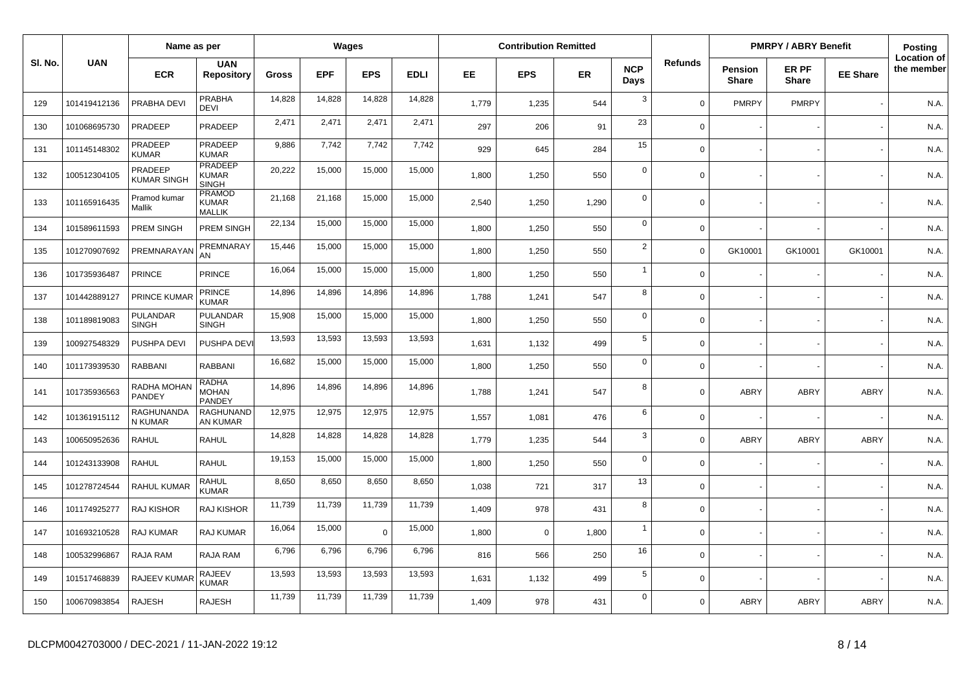|         |              | Name as per                     |                                                |        | Wages      |             |             |       | <b>Contribution Remitted</b> |           |                    |                |                                | <b>PMRPY / ABRY Benefit</b> |                 | <b>Posting</b>                   |
|---------|--------------|---------------------------------|------------------------------------------------|--------|------------|-------------|-------------|-------|------------------------------|-----------|--------------------|----------------|--------------------------------|-----------------------------|-----------------|----------------------------------|
| SI. No. | <b>UAN</b>   | <b>ECR</b>                      | <b>UAN</b><br><b>Repository</b>                | Gross  | <b>EPF</b> | <b>EPS</b>  | <b>EDLI</b> | EE.   | <b>EPS</b>                   | <b>ER</b> | <b>NCP</b><br>Days | <b>Refunds</b> | <b>Pension</b><br><b>Share</b> | ER PF<br><b>Share</b>       | <b>EE Share</b> | <b>Location of</b><br>the member |
| 129     | 101419412136 | PRABHA DEVI                     | <b>PRABHA</b><br><b>DEVI</b>                   | 14,828 | 14,828     | 14,828      | 14,828      | 1,779 | 1,235                        | 544       | 3                  | $\Omega$       | <b>PMRPY</b>                   | <b>PMRPY</b>                |                 | N.A.                             |
| 130     | 101068695730 | PRADEEP                         | PRADEEP                                        | 2,471  | 2,471      | 2,471       | 2,471       | 297   | 206                          | 91        | 23                 | $\mathbf 0$    |                                |                             |                 | N.A.                             |
| 131     | 101145148302 | PRADEEP<br><b>KUMAR</b>         | PRADEEP<br><b>KUMAR</b>                        | 9,886  | 7,742      | 7,742       | 7,742       | 929   | 645                          | 284       | 15                 | $\mathbf 0$    |                                |                             |                 | N.A.                             |
| 132     | 100512304105 | PRADEEP<br><b>KUMAR SINGH</b>   | <b>PRADEEP</b><br><b>KUMAR</b><br><b>SINGH</b> | 20,222 | 15,000     | 15,000      | 15,000      | 1,800 | 1,250                        | 550       | $\mathbf 0$        | $\Omega$       |                                |                             |                 | N.A.                             |
| 133     | 101165916435 | Pramod kumar<br>Mallik          | PRAMOD<br><b>KUMAR</b><br><b>MALLIK</b>        | 21,168 | 21,168     | 15,000      | 15,000      | 2,540 | 1,250                        | 1,290     | $\mathbf 0$        | $\mathbf 0$    |                                |                             |                 | N.A.                             |
| 134     | 101589611593 | PREM SINGH                      | PREM SINGH                                     | 22,134 | 15,000     | 15,000      | 15,000      | 1,800 | 1,250                        | 550       | $\mathbf 0$        | $\Omega$       |                                |                             |                 | N.A.                             |
| 135     | 101270907692 | PREMNARAYAN                     | PREMNARAY<br>AN                                | 15,446 | 15,000     | 15,000      | 15,000      | 1,800 | 1,250                        | 550       | $\overline{2}$     | $\Omega$       | GK10001                        | GK10001                     | GK10001         | N.A.                             |
| 136     | 101735936487 | <b>PRINCE</b>                   | <b>PRINCE</b>                                  | 16,064 | 15,000     | 15,000      | 15,000      | 1,800 | 1,250                        | 550       | $\mathbf{1}$       | $\mathbf 0$    |                                |                             |                 | N.A.                             |
| 137     | 101442889127 | PRINCE KUMAR                    | <b>PRINCE</b><br><b>KUMAR</b>                  | 14,896 | 14,896     | 14,896      | 14,896      | 1,788 | 1,241                        | 547       | 8                  | $\mathbf 0$    |                                |                             |                 | N.A.                             |
| 138     | 101189819083 | <b>PULANDAR</b><br><b>SINGH</b> | <b>PULANDAR</b><br><b>SINGH</b>                | 15,908 | 15,000     | 15,000      | 15,000      | 1,800 | 1,250                        | 550       | $\mathbf 0$        | $\mathbf 0$    |                                |                             |                 | N.A.                             |
| 139     | 100927548329 | PUSHPA DEVI                     | PUSHPA DEVI                                    | 13,593 | 13,593     | 13,593      | 13,593      | 1,631 | 1,132                        | 499       | $5\phantom{1}$     | $\Omega$       |                                |                             |                 | N.A.                             |
| 140     | 101173939530 | RABBANI                         | <b>RABBANI</b>                                 | 16,682 | 15,000     | 15,000      | 15,000      | 1,800 | 1,250                        | 550       | $\mathbf 0$        | $\mathbf 0$    |                                |                             |                 | N.A.                             |
| 141     | 101735936563 | RADHA MOHAN<br>PANDEY           | <b>RADHA</b><br><b>MOHAN</b><br>PANDEY         | 14,896 | 14,896     | 14,896      | 14,896      | 1,788 | 1,241                        | 547       | 8                  | $\Omega$       | <b>ABRY</b>                    | ABRY                        | <b>ABRY</b>     | N.A.                             |
| 142     | 101361915112 | RAGHUNANDA<br>N KUMAR           | RAGHUNAND<br>AN KUMAR                          | 12,975 | 12,975     | 12,975      | 12,975      | 1,557 | 1,081                        | 476       | 6                  | $\mathbf 0$    |                                |                             |                 | N.A.                             |
| 143     | 100650952636 | <b>RAHUL</b>                    | <b>RAHUL</b>                                   | 14,828 | 14,828     | 14,828      | 14,828      | 1,779 | 1,235                        | 544       | 3                  | $\mathbf 0$    | <b>ABRY</b>                    | <b>ABRY</b>                 | <b>ABRY</b>     | N.A.                             |
| 144     | 101243133908 | <b>RAHUL</b>                    | <b>RAHUL</b>                                   | 19,153 | 15,000     | 15,000      | 15,000      | 1,800 | 1,250                        | 550       | $\mathbf 0$        | $\Omega$       |                                |                             |                 | N.A.                             |
| 145     | 101278724544 | RAHUL KUMAR                     | <b>RAHUL</b><br><b>KUMAR</b>                   | 8,650  | 8,650      | 8,650       | 8,650       | 1,038 | 721                          | 317       | 13                 | $\Omega$       |                                |                             |                 | N.A.                             |
| 146     | 101174925277 | <b>RAJ KISHOR</b>               | <b>RAJ KISHOR</b>                              | 11,739 | 11,739     | 11,739      | 11,739      | 1,409 | 978                          | 431       | 8                  | $\mathbf 0$    |                                |                             |                 | N.A.                             |
| 147     | 101693210528 | RAJ KUMAR                       | <b>RAJ KUMAR</b>                               | 16,064 | 15,000     | $\mathbf 0$ | 15,000      | 1,800 | $\mathbf 0$                  | 1,800     | $\overline{1}$     | $\mathbf 0$    |                                |                             |                 | N.A.                             |
| 148     | 100532996867 | RAJA RAM                        | RAJA RAM                                       | 6,796  | 6,796      | 6,796       | 6,796       | 816   | 566                          | 250       | 16                 | $\mathbf 0$    |                                |                             |                 | N.A.                             |
| 149     | 101517468839 | RAJEEV KUMAF                    | <b>RAJEEV</b><br>KUMAR                         | 13,593 | 13,593     | 13,593      | 13,593      | 1,631 | 1,132                        | 499       | $\sqrt{5}$         | $\Omega$       |                                |                             |                 | N.A.                             |
| 150     | 100670983854 | <b>RAJESH</b>                   | <b>RAJESH</b>                                  | 11,739 | 11,739     | 11,739      | 11,739      | 1,409 | 978                          | 431       | $\mathbf 0$        | $\Omega$       | ABRY                           | <b>ABRY</b>                 | <b>ABRY</b>     | N.A.                             |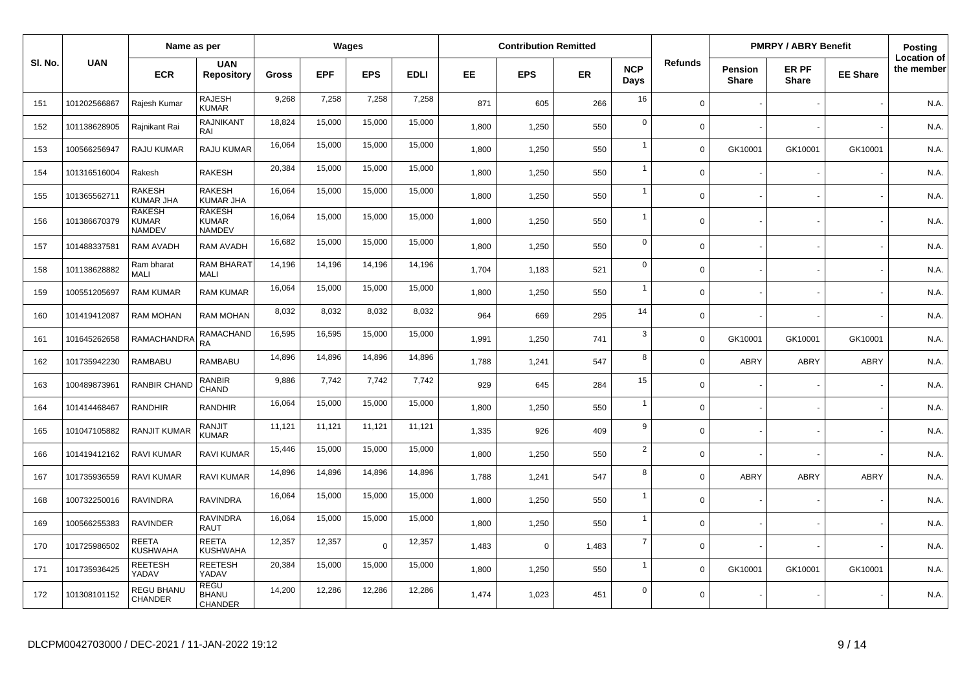|         |              | Name as per                                    |                                                |              | Wages      |            |             |       | <b>Contribution Remitted</b> |       |                    |                |                         | <b>PMRPY / ABRY Benefit</b> |                 | <b>Posting</b>                   |
|---------|--------------|------------------------------------------------|------------------------------------------------|--------------|------------|------------|-------------|-------|------------------------------|-------|--------------------|----------------|-------------------------|-----------------------------|-----------------|----------------------------------|
| SI. No. | <b>UAN</b>   | <b>ECR</b>                                     | <b>UAN</b><br><b>Repository</b>                | <b>Gross</b> | <b>EPF</b> | <b>EPS</b> | <b>EDLI</b> | EE.   | <b>EPS</b>                   | ER    | <b>NCP</b><br>Days | <b>Refunds</b> | Pension<br><b>Share</b> | ER PF<br><b>Share</b>       | <b>EE Share</b> | <b>Location of</b><br>the member |
| 151     | 101202566867 | Rajesh Kumar                                   | RAJESH<br><b>KUMAR</b>                         | 9,268        | 7,258      | 7,258      | 7,258       | 871   | 605                          | 266   | 16                 | $\Omega$       |                         |                             |                 | N.A.                             |
| 152     | 101138628905 | Rajnikant Rai                                  | <b>RAJNIKANT</b><br>RAI                        | 18,824       | 15,000     | 15,000     | 15,000      | 1,800 | 1,250                        | 550   | $\mathbf 0$        | $\Omega$       |                         |                             |                 | N.A.                             |
| 153     | 100566256947 | <b>RAJU KUMAR</b>                              | <b>RAJU KUMAR</b>                              | 16,064       | 15,000     | 15,000     | 15,000      | 1,800 | 1,250                        | 550   | $\overline{1}$     | $\Omega$       | GK10001                 | GK10001                     | GK10001         | N.A.                             |
| 154     | 101316516004 | Rakesh                                         | <b>RAKESH</b>                                  | 20,384       | 15,000     | 15,000     | 15,000      | 1,800 | 1,250                        | 550   | $\overline{1}$     | $\mathbf 0$    |                         |                             |                 | N.A.                             |
| 155     | 101365562711 | RAKESH<br><b>KUMAR JHA</b>                     | <b>RAKESH</b><br><b>KUMAR JHA</b>              | 16,064       | 15,000     | 15,000     | 15,000      | 1,800 | 1,250                        | 550   | $\overline{1}$     | $\Omega$       |                         |                             |                 | N.A.                             |
| 156     | 101386670379 | <b>RAKESH</b><br><b>KUMAR</b><br><b>NAMDEV</b> | <b>RAKESH</b><br><b>KUMAR</b><br><b>NAMDEV</b> | 16,064       | 15,000     | 15,000     | 15,000      | 1,800 | 1,250                        | 550   | $\overline{1}$     | $\Omega$       |                         |                             |                 | N.A.                             |
| 157     | 101488337581 | <b>RAM AVADH</b>                               | RAM AVADH                                      | 16,682       | 15,000     | 15,000     | 15,000      | 1,800 | 1,250                        | 550   | $\mathbf 0$        | $\Omega$       |                         |                             |                 | N.A.                             |
| 158     | 101138628882 | Ram bharat<br><b>MALI</b>                      | RAM BHARAT<br><b>MALI</b>                      | 14,196       | 14,196     | 14,196     | 14,196      | 1,704 | 1,183                        | 521   | $\mathbf 0$        | $\Omega$       |                         |                             |                 | N.A.                             |
| 159     | 100551205697 | <b>RAM KUMAR</b>                               | <b>RAM KUMAR</b>                               | 16,064       | 15,000     | 15,000     | 15,000      | 1,800 | 1,250                        | 550   | $\overline{1}$     | $\Omega$       |                         |                             |                 | N.A.                             |
| 160     | 101419412087 | <b>RAM MOHAN</b>                               | <b>RAM MOHAN</b>                               | 8,032        | 8,032      | 8,032      | 8,032       | 964   | 669                          | 295   | 14                 | $\Omega$       |                         |                             |                 | N.A.                             |
| 161     | 101645262658 | RAMACHANDR.                                    | RAMACHAND<br><b>RA</b>                         | 16,595       | 16,595     | 15,000     | 15,000      | 1,991 | 1,250                        | 741   | $\mathbf{3}$       | $\Omega$       | GK10001                 | GK10001                     | GK10001         | N.A.                             |
| 162     | 101735942230 | <b>RAMBABU</b>                                 | <b>RAMBABU</b>                                 | 14,896       | 14.896     | 14,896     | 14,896      | 1.788 | 1,241                        | 547   | 8                  | $\Omega$       | ABRY                    | <b>ABRY</b>                 | <b>ABRY</b>     | N.A.                             |
| 163     | 100489873961 | <b>RANBIR CHAND</b>                            | <b>RANBIR</b><br>CHAND                         | 9,886        | 7,742      | 7,742      | 7,742       | 929   | 645                          | 284   | 15                 | $\Omega$       |                         |                             |                 | N.A.                             |
| 164     | 101414468467 | <b>RANDHIR</b>                                 | RANDHIR                                        | 16,064       | 15,000     | 15,000     | 15,000      | 1,800 | 1,250                        | 550   | $\overline{1}$     | $\Omega$       |                         |                             |                 | N.A.                             |
| 165     | 101047105882 | <b>RANJIT KUMAF</b>                            | <b>RANJIT</b><br><b>KUMAR</b>                  | 11,121       | 11,121     | 11,121     | 11,121      | 1,335 | 926                          | 409   | 9                  | $\Omega$       |                         |                             |                 | N.A.                             |
| 166     | 101419412162 | <b>RAVI KUMAR</b>                              | <b>RAVI KUMAR</b>                              | 15,446       | 15,000     | 15,000     | 15,000      | 1.800 | 1,250                        | 550   | $\overline{2}$     | $\Omega$       |                         |                             |                 | N.A.                             |
| 167     | 101735936559 | <b>RAVI KUMAR</b>                              | RAVI KUMAR                                     | 14,896       | 14,896     | 14,896     | 14,896      | 1,788 | 1,241                        | 547   | 8                  | $\Omega$       | ABRY                    | <b>ABRY</b>                 | <b>ABRY</b>     | N.A.                             |
| 168     | 100732250016 | <b>RAVINDRA</b>                                | <b>RAVINDRA</b>                                | 16,064       | 15,000     | 15,000     | 15,000      | 1,800 | 1,250                        | 550   | $\overline{1}$     | $\Omega$       |                         |                             |                 | N.A.                             |
| 169     | 100566255383 | <b>RAVINDER</b>                                | <b>RAVINDRA</b><br><b>RAUT</b>                 | 16,064       | 15,000     | 15,000     | 15,000      | 1,800 | 1,250                        | 550   | $\overline{1}$     | $\Omega$       |                         |                             |                 | N.A.                             |
| 170     | 101725986502 | <b>REETA</b><br><b>KUSHWAHA</b>                | <b>REETA</b><br><b>KUSHWAHA</b>                | 12,357       | 12,357     | $\Omega$   | 12,357      | 1,483 | $\mathbf 0$                  | 1,483 | $\overline{7}$     | $\Omega$       |                         |                             |                 | N.A.                             |
| 171     | 101735936425 | <b>REETESH</b><br>YADAV                        | <b>REETESH</b><br>YADAV                        | 20,384       | 15,000     | 15,000     | 15,000      | 1,800 | 1,250                        | 550   | $\overline{1}$     | $\Omega$       | GK10001                 | GK10001                     | GK10001         | N.A.                             |
| 172     | 101308101152 | REGU BHANU<br><b>CHANDER</b>                   | <b>REGU</b><br><b>BHANU</b><br>CHANDER         | 14,200       | 12,286     | 12,286     | 12,286      | 1,474 | 1,023                        | 451   | $\mathbf 0$        | $\Omega$       |                         |                             |                 | N.A.                             |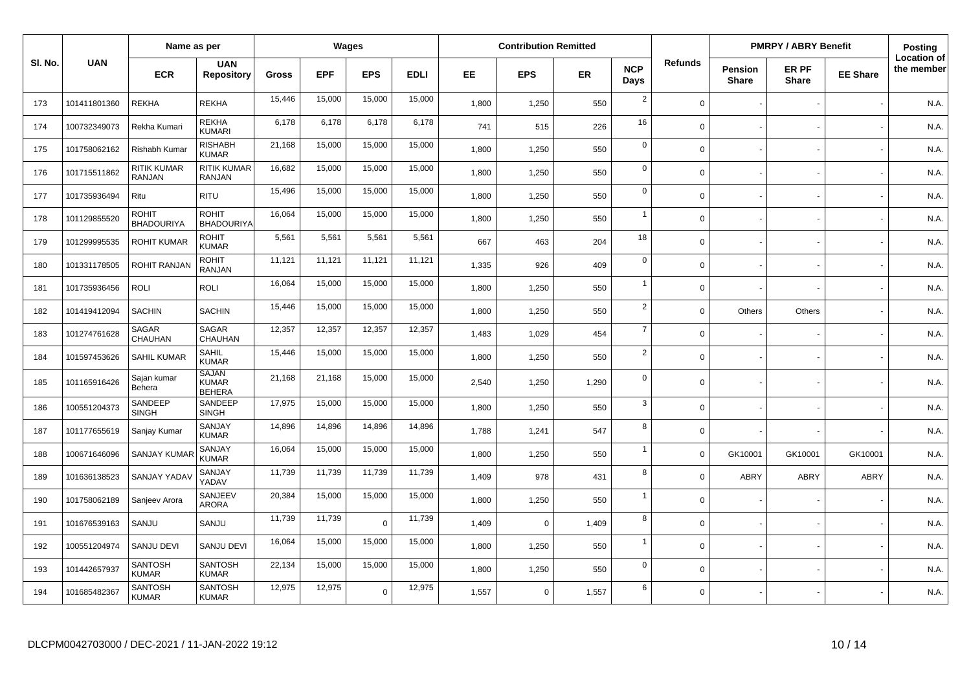|         |              | Name as per                         |                                               |              |            | Wages      |             |       | <b>Contribution Remitted</b> |           |                    |                |                                | <b>PMRPY / ABRY Benefit</b> |                 | Posting                          |
|---------|--------------|-------------------------------------|-----------------------------------------------|--------------|------------|------------|-------------|-------|------------------------------|-----------|--------------------|----------------|--------------------------------|-----------------------------|-----------------|----------------------------------|
| SI. No. | <b>UAN</b>   | <b>ECR</b>                          | <b>UAN</b><br><b>Repository</b>               | <b>Gross</b> | <b>EPF</b> | <b>EPS</b> | <b>EDLI</b> | EE    | <b>EPS</b>                   | <b>ER</b> | <b>NCP</b><br>Days | <b>Refunds</b> | <b>Pension</b><br><b>Share</b> | ER PF<br><b>Share</b>       | <b>EE Share</b> | <b>Location of</b><br>the member |
| 173     | 101411801360 | <b>REKHA</b>                        | <b>REKHA</b>                                  | 15,446       | 15,000     | 15,000     | 15,000      | 1,800 | 1,250                        | 550       | $\overline{2}$     | $\Omega$       |                                |                             |                 | N.A.                             |
| 174     | 100732349073 | Rekha Kumari                        | <b>REKHA</b><br><b>KUMARI</b>                 | 6,178        | 6,178      | 6,178      | 6,178       | 741   | 515                          | 226       | 16                 | $\Omega$       |                                |                             |                 | N.A.                             |
| 175     | 101758062162 | Rishabh Kumar                       | <b>RISHABH</b><br><b>KUMAR</b>                | 21,168       | 15,000     | 15,000     | 15,000      | 1,800 | 1,250                        | 550       | $\mathbf 0$        | $\Omega$       |                                |                             |                 | N.A.                             |
| 176     | 101715511862 | <b>RITIK KUMAR</b><br><b>RANJAN</b> | RITIK KUMAR<br><b>RANJAN</b>                  | 16,682       | 15,000     | 15,000     | 15,000      | 1,800 | 1,250                        | 550       | $\mathbf 0$        | $\Omega$       |                                |                             |                 | N.A.                             |
| 177     | 101735936494 | Ritu                                | <b>RITU</b>                                   | 15,496       | 15,000     | 15,000     | 15,000      | 1,800 | 1,250                        | 550       | $\mathbf 0$        | $\Omega$       |                                |                             |                 | N.A.                             |
| 178     | 101129855520 | <b>ROHIT</b><br><b>BHADOURIYA</b>   | <b>ROHIT</b><br><b>BHADOURIYA</b>             | 16.064       | 15.000     | 15,000     | 15,000      | 1,800 | 1,250                        | 550       | $\overline{1}$     | $\Omega$       |                                |                             |                 | N.A.                             |
| 179     | 101299995535 | <b>ROHIT KUMAR</b>                  | ROHIT<br><b>KUMAR</b>                         | 5,561        | 5,561      | 5,561      | 5,561       | 667   | 463                          | 204       | 18                 | $\Omega$       |                                |                             |                 | N.A.                             |
| 180     | 101331178505 | <b>ROHIT RANJAN</b>                 | <b>ROHIT</b><br>RANJAN                        | 11,121       | 11,121     | 11,121     | 11,121      | 1,335 | 926                          | 409       | $\mathbf 0$        | $\Omega$       |                                |                             |                 | N.A.                             |
| 181     | 101735936456 | ROLI                                | <b>ROLI</b>                                   | 16,064       | 15,000     | 15,000     | 15,000      | 1,800 | 1,250                        | 550       | $\overline{1}$     | $\Omega$       |                                |                             |                 | N.A.                             |
| 182     | 101419412094 | <b>SACHIN</b>                       | <b>SACHIN</b>                                 | 15,446       | 15,000     | 15,000     | 15,000      | 1,800 | 1,250                        | 550       | $\overline{2}$     | $\Omega$       | <b>Others</b>                  | Others                      |                 | N.A.                             |
| 183     | 101274761628 | SAGAR<br>CHAUHAN                    | SAGAR<br><b>CHAUHAN</b>                       | 12,357       | 12,357     | 12,357     | 12,357      | 1,483 | 1,029                        | 454       | $\overline{7}$     | $\mathbf 0$    |                                |                             |                 | N.A.                             |
| 184     | 101597453626 | <b>SAHIL KUMAR</b>                  | <b>SAHIL</b><br>KUMAR                         | 15,446       | 15,000     | 15,000     | 15,000      | 1.800 | 1,250                        | 550       | $\overline{2}$     | $\Omega$       |                                |                             |                 | N.A.                             |
| 185     | 101165916426 | Sajan kumar<br>Behera               | <b>SAJAN</b><br><b>KUMAR</b><br><b>BEHERA</b> | 21,168       | 21,168     | 15,000     | 15,000      | 2,540 | 1,250                        | 1,290     | $\mathbf 0$        | $\Omega$       |                                |                             |                 | N.A.                             |
| 186     | 100551204373 | SANDEEP<br><b>SINGH</b>             | SANDEEP<br><b>SINGH</b>                       | 17,975       | 15,000     | 15,000     | 15,000      | 1,800 | 1,250                        | 550       | 3                  | $\Omega$       |                                |                             |                 | N.A.                             |
| 187     | 101177655619 | Sanjay Kumar                        | SANJAY<br><b>KUMAR</b>                        | 14,896       | 14,896     | 14,896     | 14,896      | 1,788 | 1,241                        | 547       | 8                  | $\Omega$       |                                |                             |                 | N.A.                             |
| 188     | 100671646096 | <b>SANJAY KUMA</b>                  | SANJAY<br><b>KUMAR</b>                        | 16,064       | 15,000     | 15,000     | 15,000      | 1,800 | 1,250                        | 550       | $\overline{1}$     | $\Omega$       | GK10001                        | GK10001                     | GK10001         | N.A.                             |
| 189     | 101636138523 | SANJAY YADA\                        | SANJAY<br>YADAV                               | 11,739       | 11,739     | 11,739     | 11,739      | 1,409 | 978                          | 431       | 8                  | $\mathbf 0$    | ABRY                           | <b>ABRY</b>                 | ABRY            | N.A.                             |
| 190     | 101758062189 | Sanjeev Arora                       | SANJEEV<br>ARORA                              | 20,384       | 15,000     | 15,000     | 15,000      | 1,800 | 1,250                        | 550       | $\overline{1}$     | $\mathbf 0$    |                                |                             |                 | N.A.                             |
| 191     | 101676539163 | SANJU                               | SANJU                                         | 11,739       | 11,739     | $\Omega$   | 11,739      | 1,409 | $\mathbf 0$                  | 1,409     | 8                  | $\Omega$       |                                |                             |                 | N.A.                             |
| 192     | 100551204974 | SANJU DEVI                          | SANJU DEVI                                    | 16,064       | 15,000     | 15,000     | 15,000      | 1,800 | 1,250                        | 550       | $\overline{1}$     | $\Omega$       |                                |                             |                 | N.A.                             |
| 193     | 101442657937 | <b>SANTOSH</b><br><b>KUMAR</b>      | <b>SANTOSH</b><br><b>KUMAR</b>                | 22,134       | 15,000     | 15,000     | 15,000      | 1,800 | 1,250                        | 550       | $\mathbf 0$        | $\Omega$       |                                |                             |                 | N.A.                             |
| 194     | 101685482367 | <b>SANTOSH</b><br><b>KUMAR</b>      | <b>SANTOSH</b><br><b>KUMAR</b>                | 12,975       | 12,975     | $\Omega$   | 12,975      | 1,557 | $\mathbf 0$                  | 1,557     | 6                  | $\Omega$       |                                |                             |                 | N.A.                             |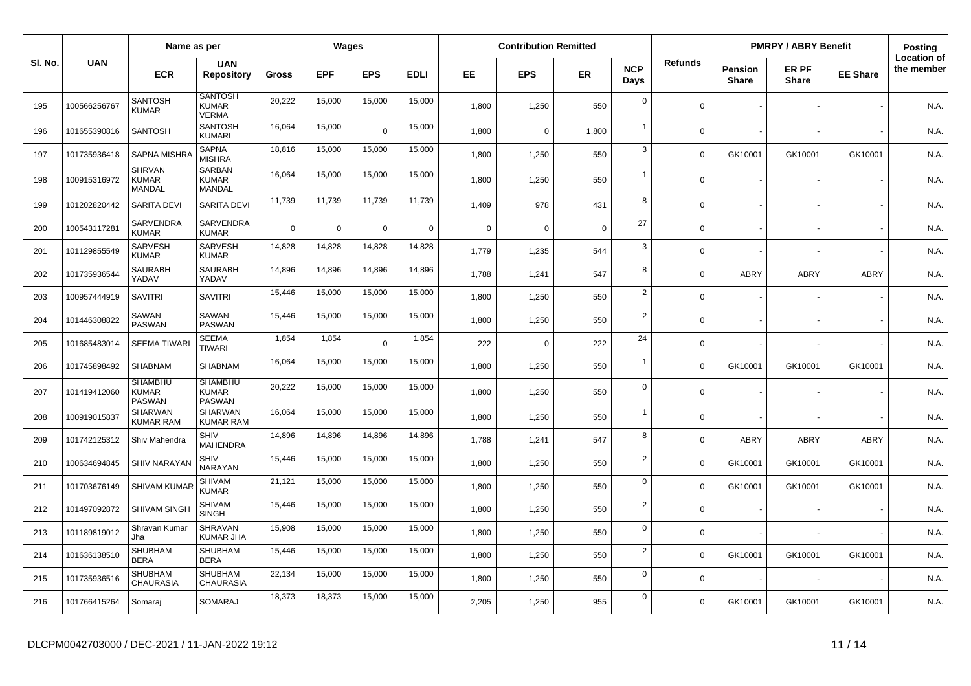|         |              | Name as per                                     |                                                 |          |             | <b>Wages</b>   |             |          | <b>Contribution Remitted</b> |          |                    |                |                                | <b>PMRPY / ABRY Benefit</b> |                 | <b>Posting</b>                   |
|---------|--------------|-------------------------------------------------|-------------------------------------------------|----------|-------------|----------------|-------------|----------|------------------------------|----------|--------------------|----------------|--------------------------------|-----------------------------|-----------------|----------------------------------|
| SI. No. | <b>UAN</b>   | <b>ECR</b>                                      | <b>UAN</b><br><b>Repository</b>                 | Gross    | <b>EPF</b>  | <b>EPS</b>     | <b>EDLI</b> | EE.      | <b>EPS</b>                   | ER       | <b>NCP</b><br>Days | <b>Refunds</b> | <b>Pension</b><br><b>Share</b> | ER PF<br><b>Share</b>       | <b>EE Share</b> | <b>Location of</b><br>the member |
| 195     | 100566256767 | <b>SANTOSH</b><br><b>KUMAR</b>                  | <b>SANTOSH</b><br><b>KUMAR</b><br><b>VERMA</b>  | 20,222   | 15,000      | 15,000         | 15,000      | 1,800    | 1,250                        | 550      | $\overline{0}$     | $\mathbf 0$    |                                |                             |                 | N.A.                             |
| 196     | 101655390816 | <b>SANTOSH</b>                                  | <b>SANTOSH</b><br><b>KUMARI</b>                 | 16,064   | 15,000      | $\overline{0}$ | 15,000      | 1.800    | 0                            | 1,800    | $\overline{1}$     | $\Omega$       |                                |                             |                 | N.A.                             |
| 197     | 101735936418 | <b>SAPNA MISHR</b>                              | <b>SAPNA</b><br><b>MISHRA</b>                   | 18,816   | 15,000      | 15,000         | 15,000      | 1,800    | 1,250                        | 550      | 3                  | $\mathbf 0$    | GK10001                        | GK10001                     | GK10001         | N.A.                             |
| 198     | 100915316972 | <b>SHRVAN</b><br><b>KUMAR</b><br><b>MANDAL</b>  | <b>SARBAN</b><br><b>KUMAR</b><br>MANDAL         | 16,064   | 15,000      | 15,000         | 15,000      | 1.800    | 1,250                        | 550      | 1                  | $\Omega$       |                                |                             |                 | N.A.                             |
| 199     | 101202820442 | SARITA DEVI                                     | <b>SARITA DEVI</b>                              | 11,739   | 11,739      | 11,739         | 11,739      | 1,409    | 978                          | 431      | 8                  | $\mathbf 0$    |                                |                             |                 | N.A.                             |
| 200     | 100543117281 | SARVENDRA<br><b>KUMAR</b>                       | SARVENDRA<br><b>KUMAR</b>                       | $\Omega$ | $\mathbf 0$ | $\mathbf 0$    | $\mathbf 0$ | $\Omega$ | $\Omega$                     | $\Omega$ | 27                 | $\Omega$       |                                |                             |                 | N.A.                             |
| 201     | 101129855549 | SARVESH<br><b>KUMAR</b>                         | SARVESH<br><b>KUMAR</b>                         | 14,828   | 14,828      | 14,828         | 14,828      | 1.779    | 1,235                        | 544      | 3                  | $\mathbf 0$    |                                |                             |                 | N.A.                             |
| 202     | 101735936544 | <b>SAURABH</b><br>YADAV                         | <b>SAURABH</b><br>YADAV                         | 14,896   | 14,896      | 14,896         | 14,896      | 1,788    | 1,241                        | 547      | 8                  | $\mathbf 0$    | ABRY                           | <b>ABRY</b>                 | <b>ABRY</b>     | N.A.                             |
| 203     | 100957444919 | <b>SAVITRI</b>                                  | <b>SAVITRI</b>                                  | 15,446   | 15,000      | 15,000         | 15,000      | 1,800    | 1,250                        | 550      | $\overline{2}$     | $\mathbf 0$    |                                |                             |                 | N.A.                             |
| 204     | 101446308822 | SAWAN<br><b>PASWAN</b>                          | SAWAN<br><b>PASWAN</b>                          | 15,446   | 15,000      | 15,000         | 15,000      | 1,800    | 1,250                        | 550      | $\overline{2}$     | $\mathbf 0$    |                                |                             |                 | N.A.                             |
| 205     | 101685483014 | <b>SEEMA TIWAR</b>                              | <b>SEEMA</b><br><b>TIWARI</b>                   | 1,854    | 1,854       | $\Omega$       | 1,854       | 222      | $\Omega$                     | 222      | 24                 | $\mathbf 0$    |                                |                             |                 | N.A.                             |
| 206     | 101745898492 | <b>SHABNAM</b>                                  | <b>SHABNAM</b>                                  | 16,064   | 15,000      | 15,000         | 15,000      | 1,800    | 1,250                        | 550      | $\mathbf{1}$       | $\mathbf 0$    | GK10001                        | GK10001                     | GK10001         | N.A.                             |
| 207     | 101419412060 | <b>SHAMBHU</b><br><b>KUMAR</b><br><b>PASWAN</b> | <b>SHAMBHU</b><br><b>KUMAR</b><br><b>PASWAN</b> | 20,222   | 15,000      | 15,000         | 15,000      | 1,800    | 1,250                        | 550      | $\mathbf 0$        | $\Omega$       |                                |                             |                 | N.A.                             |
| 208     | 100919015837 | <b>SHARWAN</b><br><b>KUMAR RAM</b>              | SHARWAN<br><b>KUMAR RAM</b>                     | 16,064   | 15,000      | 15,000         | 15,000      | 1,800    | 1,250                        | 550      | $\overline{1}$     | $\mathbf 0$    |                                |                             |                 | N.A.                             |
| 209     | 101742125312 | Shiv Mahendra                                   | <b>SHIV</b><br><b>MAHENDRA</b>                  | 14,896   | 14.896      | 14,896         | 14,896      | 1,788    | 1,241                        | 547      | 8                  | $\mathbf 0$    | ABRY                           | <b>ABRY</b>                 | <b>ABRY</b>     | N.A.                             |
| 210     | 100634694845 | SHIV NARAYAI                                    | <b>SHIV</b><br>NARAYAN                          | 15,446   | 15,000      | 15,000         | 15,000      | 1,800    | 1,250                        | 550      | $\overline{2}$     | $\Omega$       | GK10001                        | GK10001                     | GK10001         | N.A.                             |
| 211     | 101703676149 | SHIVAM KUMA                                     | <b>SHIVAM</b><br><b>KUMAR</b>                   | 21,121   | 15,000      | 15,000         | 15,000      | 1.800    | 1,250                        | 550      | $\mathbf 0$        | $\Omega$       | GK10001                        | GK10001                     | GK10001         | N.A.                             |
| 212     | 101497092872 | SHIVAM SINGH                                    | <b>SHIVAM</b><br><b>SINGH</b>                   | 15,446   | 15,000      | 15,000         | 15,000      | 1,800    | 1,250                        | 550      | $\overline{2}$     | $\mathbf 0$    |                                |                             |                 | N.A.                             |
| 213     | 101189819012 | Shravan Kumar<br>Jha                            | SHRAVAN<br><b>KUMAR JHA</b>                     | 15,908   | 15,000      | 15,000         | 15,000      | 1,800    | 1,250                        | 550      | $\mathbf 0$        | $\mathbf 0$    |                                |                             |                 | N.A.                             |
| 214     | 101636138510 | SHUBHAM<br><b>BERA</b>                          | <b>SHUBHAM</b><br><b>BERA</b>                   | 15,446   | 15,000      | 15,000         | 15,000      | 1,800    | 1,250                        | 550      | $\overline{2}$     | $\mathbf 0$    | GK10001                        | GK10001                     | GK10001         | N.A.                             |
| 215     | 101735936516 | <b>SHUBHAM</b><br><b>CHAURASIA</b>              | <b>SHUBHAM</b><br><b>CHAURASIA</b>              | 22,134   | 15,000      | 15,000         | 15,000      | 1,800    | 1,250                        | 550      | $\mathbf 0$        | $\Omega$       |                                |                             |                 | N.A.                             |
| 216     | 101766415264 | Somaraj                                         | SOMARAJ                                         | 18,373   | 18,373      | 15,000         | 15,000      | 2,205    | 1,250                        | 955      | $\mathbf 0$        | $\Omega$       | GK10001                        | GK10001                     | GK10001         | N.A.                             |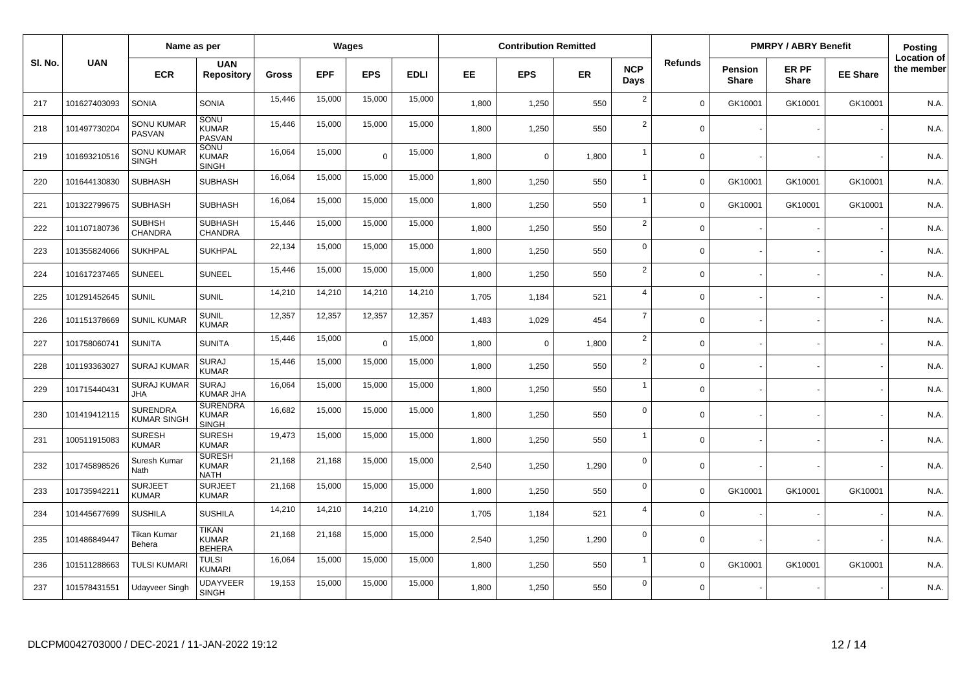|         |              | Name as per                           |                                                 |        |            | Wages      |             |       | <b>Contribution Remitted</b> |           |                    |                |                                | <b>PMRPY / ABRY Benefit</b> |                 | Posting                          |
|---------|--------------|---------------------------------------|-------------------------------------------------|--------|------------|------------|-------------|-------|------------------------------|-----------|--------------------|----------------|--------------------------------|-----------------------------|-----------------|----------------------------------|
| SI. No. | <b>UAN</b>   | <b>ECR</b>                            | <b>UAN</b><br><b>Repository</b>                 | Gross  | <b>EPF</b> | <b>EPS</b> | <b>EDLI</b> | EE.   | <b>EPS</b>                   | <b>ER</b> | <b>NCP</b><br>Days | <b>Refunds</b> | <b>Pension</b><br><b>Share</b> | ER PF<br><b>Share</b>       | <b>EE Share</b> | <b>Location of</b><br>the member |
| 217     | 101627403093 | SONIA                                 | <b>SONIA</b>                                    | 15,446 | 15,000     | 15,000     | 15,000      | 1,800 | 1,250                        | 550       | $\overline{2}$     | $\Omega$       | GK10001                        | GK10001                     | GK10001         | N.A.                             |
| 218     | 101497730204 | <b>SONU KUMAR</b><br>PASVAN           | SONU<br><b>KUMAR</b><br><b>PASVAN</b>           | 15,446 | 15,000     | 15,000     | 15,000      | 1,800 | 1,250                        | 550       | $\overline{2}$     | $\mathbf 0$    |                                |                             |                 | N.A.                             |
| 219     | 101693210516 | <b>SONU KUMAR</b><br><b>SINGH</b>     | <b>SONU</b><br><b>KUMAR</b><br><b>SINGH</b>     | 16,064 | 15,000     | $\Omega$   | 15,000      | 1,800 | $\Omega$                     | 1,800     | $\overline{1}$     | $\Omega$       |                                |                             |                 | N.A.                             |
| 220     | 101644130830 | <b>SUBHASH</b>                        | <b>SUBHASH</b>                                  | 16,064 | 15,000     | 15,000     | 15,000      | 1,800 | 1,250                        | 550       | $\overline{1}$     | $\mathbf 0$    | GK10001                        | GK10001                     | GK10001         | N.A.                             |
| 221     | 101322799675 | <b>SUBHASH</b>                        | <b>SUBHASH</b>                                  | 16,064 | 15,000     | 15,000     | 15,000      | 1.800 | 1,250                        | 550       | $\overline{1}$     | $\Omega$       | GK10001                        | GK10001                     | GK10001         | N.A.                             |
| 222     | 101107180736 | <b>SUBHSH</b><br><b>CHANDRA</b>       | <b>SUBHASH</b><br><b>CHANDRA</b>                | 15,446 | 15,000     | 15,000     | 15,000      | 1,800 | 1,250                        | 550       | 2                  | $\Omega$       |                                |                             |                 | N.A.                             |
| 223     | 101355824066 | <b>SUKHPAL</b>                        | <b>SUKHPAL</b>                                  | 22,134 | 15,000     | 15,000     | 15,000      | 1,800 | 1,250                        | 550       | $\mathbf 0$        | $\mathbf 0$    |                                |                             |                 | N.A.                             |
| 224     | 101617237465 | SUNEEL                                | <b>SUNEEL</b>                                   | 15,446 | 15,000     | 15,000     | 15,000      | 1.800 | 1,250                        | 550       | $\overline{2}$     | $\Omega$       |                                |                             |                 | N.A.                             |
| 225     | 101291452645 | <b>SUNIL</b>                          | <b>SUNIL</b>                                    | 14,210 | 14,210     | 14,210     | 14,210      | 1,705 | 1,184                        | 521       | $\overline{4}$     | $\mathbf 0$    |                                |                             |                 | N.A.                             |
| 226     | 101151378669 | <b>SUNIL KUMAR</b>                    | <b>SUNIL</b><br><b>KUMAR</b>                    | 12,357 | 12,357     | 12,357     | 12,357      | 1,483 | 1,029                        | 454       | $\overline{7}$     | $\mathbf 0$    |                                |                             |                 | N.A.                             |
| 227     | 101758060741 | <b>SUNITA</b>                         | <b>SUNITA</b>                                   | 15,446 | 15,000     | $\Omega$   | 15,000      | 1,800 | $\Omega$                     | 1,800     | $\overline{2}$     | $\Omega$       |                                |                             |                 | N.A.                             |
| 228     | 101193363027 | <b>SURAJ KUMAR</b>                    | <b>SURAJ</b><br><b>KUMAR</b>                    | 15.446 | 15,000     | 15,000     | 15,000      | 1,800 | 1,250                        | 550       | $\overline{2}$     | $\Omega$       |                                |                             |                 | N.A.                             |
| 229     | 101715440431 | <b>SURAJ KUMAR</b><br><b>JHA</b>      | <b>SURAJ</b><br><b>KUMAR JHA</b>                | 16,064 | 15,000     | 15,000     | 15,000      | 1,800 | 1,250                        | 550       | $\overline{1}$     | $\mathbf 0$    |                                |                             |                 | N.A.                             |
| 230     | 101419412115 | <b>SURENDRA</b><br><b>KUMAR SINGH</b> | <b>SURENDRA</b><br><b>KUMAR</b><br><b>SINGH</b> | 16,682 | 15,000     | 15,000     | 15,000      | 1,800 | 1,250                        | 550       | $\mathbf 0$        | $\Omega$       |                                |                             |                 | N.A.                             |
| 231     | 100511915083 | <b>SURESH</b><br><b>KUMAR</b>         | <b>SURESH</b><br><b>KUMAR</b>                   | 19,473 | 15,000     | 15,000     | 15,000      | 1.800 | 1,250                        | 550       | $\overline{1}$     | $\Omega$       |                                |                             |                 | N.A.                             |
| 232     | 101745898526 | Suresh Kumar<br><b>Nath</b>           | <b>SURESH</b><br><b>KUMAR</b><br><b>NATH</b>    | 21,168 | 21,168     | 15,000     | 15,000      | 2,540 | 1,250                        | 1,290     | $\Omega$           | $\Omega$       |                                |                             |                 | N.A.                             |
| 233     | 101735942211 | <b>SURJEET</b><br><b>KUMAR</b>        | <b>SURJEET</b><br><b>KUMAR</b>                  | 21,168 | 15,000     | 15,000     | 15,000      | 1,800 | 1,250                        | 550       | $\mathsf 0$        | $\Omega$       | GK10001                        | GK10001                     | GK10001         | N.A.                             |
| 234     | 101445677699 | <b>SUSHILA</b>                        | <b>SUSHILA</b>                                  | 14,210 | 14,210     | 14,210     | 14,210      | 1.705 | 1,184                        | 521       | $\overline{4}$     | $\Omega$       |                                |                             |                 | N.A.                             |
| 235     | 101486849447 | Tikan Kumar<br>Behera                 | <b>TIKAN</b><br><b>KUMAR</b><br><b>BEHERA</b>   | 21,168 | 21,168     | 15,000     | 15,000      | 2,540 | 1,250                        | 1,290     | $\overline{0}$     | $\mathbf 0$    |                                |                             |                 | N.A.                             |
| 236     | 101511288663 | <b>TULSI KUMARI</b>                   | <b>TULSI</b><br><b>KUMARI</b>                   | 16,064 | 15,000     | 15,000     | 15,000      | 1,800 | 1,250                        | 550       | $\mathbf{1}$       | $\mathbf 0$    | GK10001                        | GK10001                     | GK10001         | N.A.                             |
| 237     | 101578431551 | Udayveer Singh                        | <b>UDAYVEER</b><br><b>SINGH</b>                 | 19,153 | 15,000     | 15,000     | 15,000      | 1.800 | 1,250                        | 550       | $\Omega$           | $\Omega$       |                                |                             |                 | N.A.                             |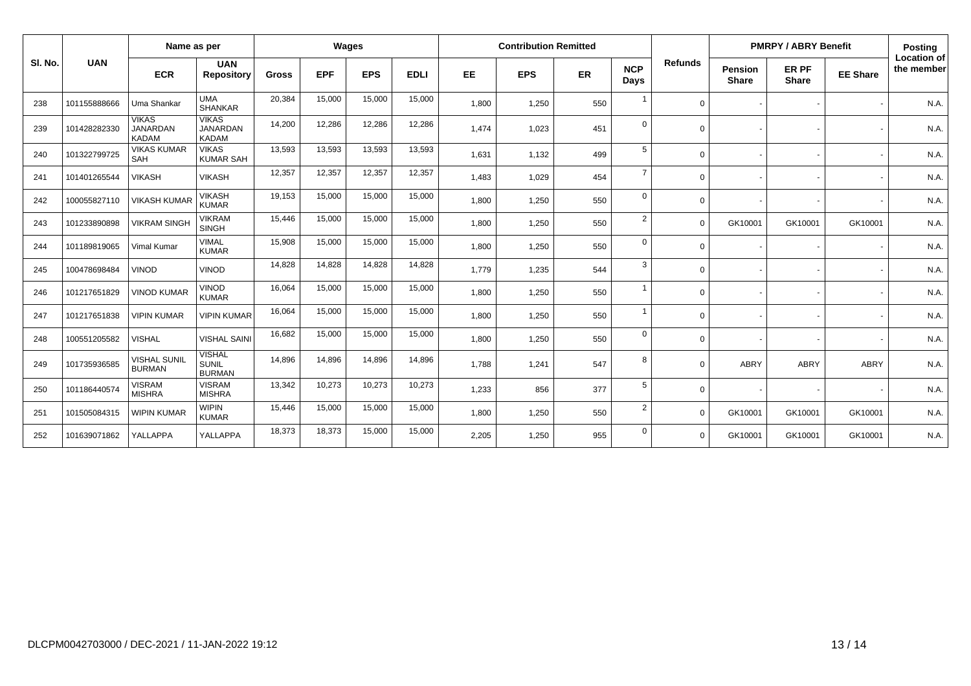| SI. No. | <b>UAN</b>   | Name as per                                     |                                                 | Wages        |            |            |             | <b>Contribution Remitted</b> |            |     |                    |                | <b>PMRPY / ABRY Benefit</b>    |                       |                 | <b>Posting</b>                   |
|---------|--------------|-------------------------------------------------|-------------------------------------------------|--------------|------------|------------|-------------|------------------------------|------------|-----|--------------------|----------------|--------------------------------|-----------------------|-----------------|----------------------------------|
|         |              | <b>ECR</b>                                      | <b>UAN</b><br><b>Repository</b>                 | <b>Gross</b> | <b>EPF</b> | <b>EPS</b> | <b>EDLI</b> | <b>EE</b>                    | <b>EPS</b> | ER  | <b>NCP</b><br>Days | <b>Refunds</b> | <b>Pension</b><br><b>Share</b> | ER PF<br><b>Share</b> | <b>EE Share</b> | <b>Location of</b><br>the member |
| 238     | 101155888666 | Uma Shankar                                     | <b>UMA</b><br><b>SHANKAR</b>                    | 20,384       | 15,000     | 15,000     | 15,000      | 1,800                        | 1,250      | 550 |                    | $\Omega$       |                                |                       |                 | N.A.                             |
| 239     | 101428282330 | <b>VIKAS</b><br><b>JANARDAN</b><br><b>KADAM</b> | <b>VIKAS</b><br><b>JANARDAN</b><br><b>KADAM</b> | 14,200       | 12,286     | 12,286     | 12,286      | 1,474                        | 1,023      | 451 | $\Omega$           | $\Omega$       |                                |                       |                 | N.A.                             |
| 240     | 101322799725 | <b>VIKAS KUMAR</b><br>SAH                       | <b>VIKAS</b><br><b>KUMAR SAH</b>                | 13,593       | 13,593     | 13,593     | 13,593      | 1,631                        | 1,132      | 499 | 5                  | $\Omega$       |                                |                       |                 | N.A.                             |
| 241     | 101401265544 | <b>VIKASH</b>                                   | <b>VIKASH</b>                                   | 12,357       | 12,357     | 12,357     | 12,357      | 1.483                        | 1,029      | 454 | $\overline{7}$     | $\Omega$       |                                |                       |                 | N.A.                             |
| 242     | 100055827110 | <b>VIKASH KUMAR</b>                             | <b>VIKASH</b><br><b>KUMAR</b>                   | 19,153       | 15,000     | 15,000     | 15,000      | 1,800                        | 1,250      | 550 | $\mathbf 0$        | $\Omega$       |                                |                       |                 | N.A.                             |
| 243     | 101233890898 | <b>VIKRAM SINGH</b>                             | <b>VIKRAM</b><br><b>SINGH</b>                   | 15,446       | 15,000     | 15,000     | 15,000      | 1,800                        | 1,250      | 550 | $\overline{2}$     | $\Omega$       | GK10001                        | GK10001               | GK10001         | N.A.                             |
| 244     | 101189819065 | <b>Vimal Kumar</b>                              | <b>VIMAL</b><br><b>KUMAR</b>                    | 15,908       | 15,000     | 15,000     | 15,000      | 1,800                        | 1,250      | 550 | $\mathbf 0$        | $\Omega$       |                                |                       |                 | N.A.                             |
| 245     | 100478698484 | <b>VINOD</b>                                    | <b>VINOD</b>                                    | 14,828       | 14,828     | 14,828     | 14,828      | 1.779                        | 1,235      | 544 | 3                  | $\Omega$       |                                |                       |                 | N.A.                             |
| 246     | 101217651829 | <b>VINOD KUMAR</b>                              | <b>VINOD</b><br><b>KUMAR</b>                    | 16,064       | 15,000     | 15,000     | 15,000      | 1,800                        | 1,250      | 550 |                    | $\Omega$       |                                |                       |                 | N.A.                             |
| 247     | 101217651838 | <b>VIPIN KUMAR</b>                              | <b>VIPIN KUMAR</b>                              | 16,064       | 15,000     | 15,000     | 15,000      | 1.800                        | 1,250      | 550 |                    | $\Omega$       |                                |                       |                 | N.A.                             |
| 248     | 100551205582 | <b>VISHAL</b>                                   | <b>VISHAL SAINI</b>                             | 16,682       | 15,000     | 15,000     | 15,000      | 1,800                        | 1,250      | 550 | $\Omega$           | $\Omega$       |                                |                       |                 | N.A.                             |
| 249     | 101735936585 | <b>VISHAL SUNIL</b><br><b>BURMAN</b>            | <b>VISHAL</b><br><b>SUNIL</b><br><b>BURMAN</b>  | 14,896       | 14,896     | 14,896     | 14,896      | 1,788                        | 1,241      | 547 | 8                  | $\Omega$       | ABRY                           | <b>ABRY</b>           | ABRY            | N.A.                             |
| 250     | 101186440574 | <b>VISRAM</b><br><b>MISHRA</b>                  | <b>VISRAM</b><br><b>MISHRA</b>                  | 13,342       | 10,273     | 10,273     | 10,273      | 1,233                        | 856        | 377 | 5                  | $\Omega$       |                                |                       |                 | N.A.                             |
| 251     | 101505084315 | <b>WIPIN KUMAR</b>                              | <b>WIPIN</b><br><b>KUMAR</b>                    | 15,446       | 15,000     | 15,000     | 15,000      | 1,800                        | 1,250      | 550 | $\overline{2}$     | $\Omega$       | GK10001                        | GK10001               | GK10001         | N.A.                             |
| 252     | 101639071862 | YALLAPPA                                        | YALLAPPA                                        | 18,373       | 18,373     | 15,000     | 15,000      | 2.205                        | 1,250      | 955 | $\Omega$           | $\Omega$       | GK10001                        | GK10001               | GK10001         | N.A.                             |